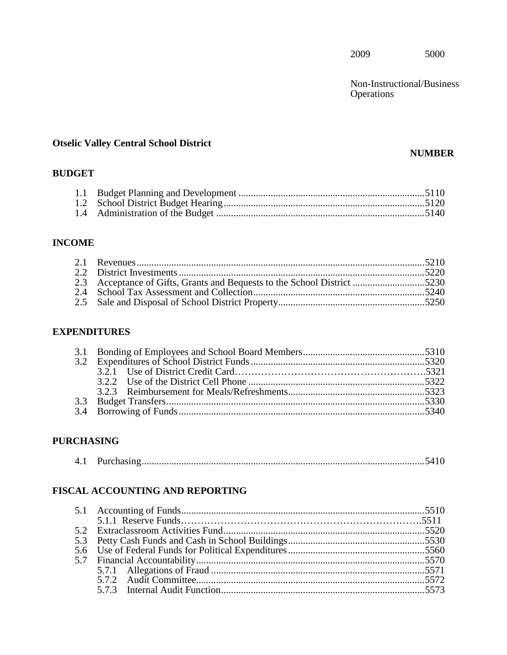Non-Instructional/Business Operations

# **Otselic Valley Central School District**

# **NUMBER**

# **BUDGET**

# **INCOME**

# **EXPENDITURES**

# **PURCHASING**

# **FISCAL ACCOUNTING AND REPORTING**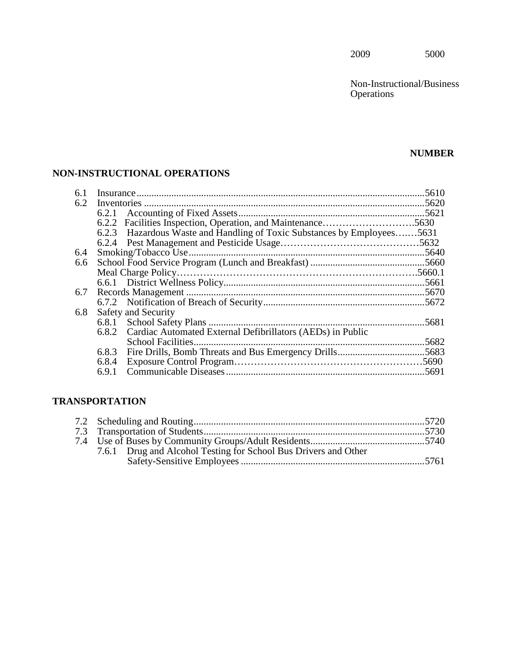Non-Instructional/Business **Operations** 

# **NUMBER**

# **NON-INSTRUCTIONAL OPERATIONS**

| 6.1 |       |                                                                         |  |
|-----|-------|-------------------------------------------------------------------------|--|
| 6.2 |       |                                                                         |  |
|     | 6.2.1 |                                                                         |  |
|     | 6.2.2 |                                                                         |  |
|     |       | 6.2.3 Hazardous Waste and Handling of Toxic Substances by Employees5631 |  |
|     |       |                                                                         |  |
| 6.4 |       |                                                                         |  |
| 6.6 |       |                                                                         |  |
|     |       |                                                                         |  |
|     |       |                                                                         |  |
| 6.7 |       |                                                                         |  |
|     |       |                                                                         |  |
| 6.8 |       | <b>Safety and Security</b>                                              |  |
|     |       |                                                                         |  |
|     |       | 6.8.2 Cardiac Automated External Defibrillators (AEDs) in Public        |  |
|     |       |                                                                         |  |
|     |       |                                                                         |  |
|     | 6.8.4 |                                                                         |  |
|     | 6.9.1 |                                                                         |  |
|     |       |                                                                         |  |

# **TRANSPORTATION**

|  | 7.6.1 Drug and Alcohol Testing for School Bus Drivers and Other |  |
|--|-----------------------------------------------------------------|--|
|  |                                                                 |  |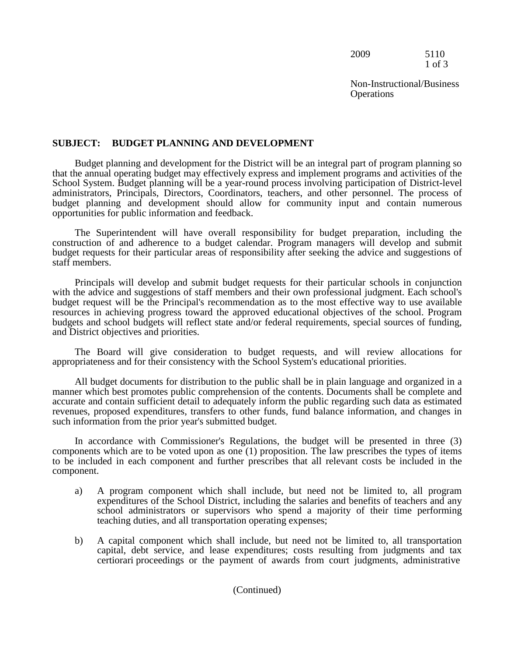2009 5110 1 of 3

Non-Instructional/Business **Operations** 

## **SUBJECT: BUDGET PLANNING AND DEVELOPMENT**

 Budget planning and development for the District will be an integral part of program planning so School System. Budget planning will be a year-round process involving participation of District-level administrators, Principals, Directors, Coordinators, teachers, and other personnel. The process of that the annual operating budget may effectively express and implement programs and activities of the budget planning and development should allow for community input and contain numerous opportunities for public information and feedback.

The Superintendent will have overall responsibility for budget preparation, including the construction of and adherence to a budget calendar. Program managers will develop and submit budget requests for their particular areas of responsibility after seeking the advice and suggestions of staff members.

Principals will develop and submit budget requests for their particular schools in conjunction with the advice and suggestions of staff members and their own professional judgment. Each school's budget request will be the Principal's recommendation as to the most effective way to use available resources in achieving progress toward the approved educational objectives of the school. Program budgets and school budgets will reflect state and/or federal requirements, special sources of funding, and District objectives and priorities.

The Board will give consideration to budget requests, and will review allocations for appropriateness and for their consistency with the School System's educational priorities.

All budget documents for distribution to the public shall be in plain language and organized in a manner which best promotes public comprehension of the contents. Documents shall be complete and accurate and contain sufficient detail to adequately inform the public regarding such data as estimated revenues, proposed expenditures, transfers to other funds, fund balance information, and changes in such information from the prior year's submitted budget.

 In accordance with Commissioner's Regulations, the budget will be presented in three (3) to be included in each component and further prescribes that all relevant costs be included in the components which are to be voted upon as one (1) proposition. The law prescribes the types of items component.

- a) A program component which shall include, but need not be limited to, all program expenditures of the School District, including the salaries and benefits of teachers and any school administrators or supervisors who spend a majority of their time performing teaching duties, and all transportation operating expenses;
- b) A capital component which shall include, but need not be limited to, all transportation capital, debt service, and lease expenditures; costs resulting from judgments and tax certiorari proceedings or the payment of awards from court judgments, administrative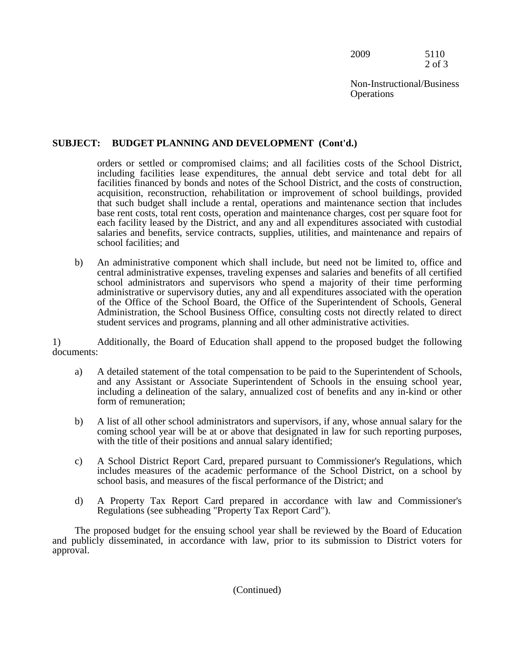2009 5110 2 of 3

Non-Instructional/Business **Operations** 

# **SUBJECT: BUDGET PLANNING AND DEVELOPMENT (Cont'd.)**

 orders or settled or compromised claims; and all facilities costs of the School District, base rent costs, total rent costs, operation and maintenance charges, cost per square foot for including facilities lease expenditures, the annual debt service and total debt for all facilities financed by bonds and notes of the School District, and the costs of construction, acquisition, reconstruction, rehabilitation or improvement of school buildings, provided that such budget shall include a rental, operations and maintenance section that includes each facility leased by the District, and any and all expenditures associated with custodial salaries and benefits, service contracts, supplies, utilities, and maintenance and repairs of school facilities; and

b) An administrative component which shall include, but need not be limited to, office and central administrative expenses, traveling expenses and salaries and benefits of all certified school administrators and supervisors who spend a majority of their time performing administrative or supervisory duties, any and all expenditures associated with the operation of the Office of the School Board, the Office of the Superintendent of Schools, General Administration, the School Business Office, consulting costs not directly related to direct student services and programs, planning and all other administrative activities.

1) Additionally, the Board of Education shall append to the proposed budget the following documents:

- and any Assistant or Associate Superintendent of Schools in the ensuing school year, a) A detailed statement of the total compensation to be paid to the Superintendent of Schools, including a delineation of the salary, annualized cost of benefits and any in-kind or other form of remuneration;
- b) A list of all other school administrators and supervisors, if any, whose annual salary for the coming school year will be at or above that designated in law for such reporting purposes, with the title of their positions and annual salary identified;
- c) A School District Report Card, prepared pursuant to Commissioner's Regulations, which includes measures of the academic performance of the School District, on a school by school basis, and measures of the fiscal performance of the District; and
- d) A Property Tax Report Card prepared in accordance with law and Commissioner's Regulations (see subheading "Property Tax Report Card").

The proposed budget for the ensuing school year shall be reviewed by the Board of Education and publicly disseminated, in accordance with law, prior to its submission to District voters for approval.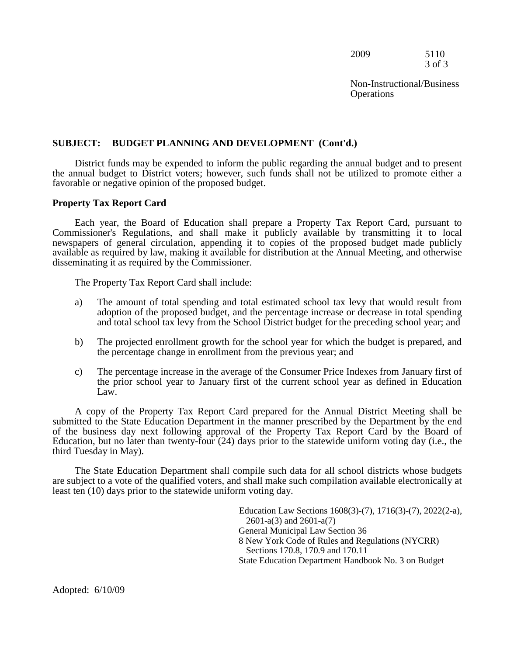2009 5110 3 of 3

Non-Instructional/Business **Operations** 

## **SUBJECT: BUDGET PLANNING AND DEVELOPMENT (Cont'd.)**

 the annual budget to District voters; however, such funds shall not be utilized to promote either a District funds may be expended to inform the public regarding the annual budget and to present favorable or negative opinion of the proposed budget.

#### **Property Tax Report Card**

Each year, the Board of Education shall prepare a Property Tax Report Card, pursuant to Commissioner's Regulations, and shall make it publicly available by transmitting it to local newspapers of general circulation, appending it to copies of the proposed budget made publicly available as required by law, making it available for distribution at the Annual Meeting, and otherwise disseminating it as required by the Commissioner.

The Property Tax Report Card shall include:

- and total school tax levy from the School District budget for the preceding school year; and a) The amount of total spending and total estimated school tax levy that would result from adoption of the proposed budget, and the percentage increase or decrease in total spending
- the percentage change in enrollment from the previous year; and b) The projected enrollment growth for the school year for which the budget is prepared, and
- the prior school year to January first of the current school year as defined in Education c) The percentage increase in the average of the Consumer Price Indexes from January first of Law.

 of the business day next following approval of the Property Tax Report Card by the Board of A copy of the Property Tax Report Card prepared for the Annual District Meeting shall be submitted to the State Education Department in the manner prescribed by the Department by the end Education, but no later than twenty-four (24) days prior to the statewide uniform voting day (i.e., the third Tuesday in May).

The State Education Department shall compile such data for all school districts whose budgets are subject to a vote of the qualified voters, and shall make such compilation available electronically at least ten (10) days prior to the statewide uniform voting day.

> Education Law Sections 1608(3)-(7), 1716(3)-(7), 2022(2-a), 2601-a(3) and 2601-a(7) General Municipal Law Section 36 8 New York Code of Rules and Regulations (NYCRR) Sections 170.8, 170.9 and 170.11 State Education Department Handbook No. 3 on Budget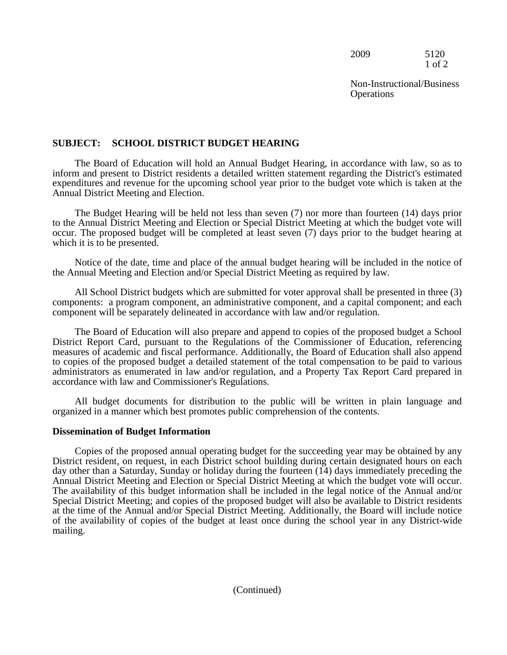2009 5120 1 of 2

Non-Instructional/Business **Operations** 

# **SUBJECT: SCHOOL DISTRICT BUDGET HEARING**

The Board of Education will hold an Annual Budget Hearing, in accordance with law, so as to inform and present to District residents a detailed written statement regarding the District's estimated expenditures and revenue for the upcoming school year prior to the budget vote which is taken at the Annual District Meeting and Election.

 to the Annual District Meeting and Election or Special District Meeting at which the budget vote will The Budget Hearing will be held not less than seven (7) nor more than fourteen (14) days prior occur. The proposed budget will be completed at least seven (7) days prior to the budget hearing at which it is to be presented.

Notice of the date, time and place of the annual budget hearing will be included in the notice of the Annual Meeting and Election and/or Special District Meeting as required by law.

All School District budgets which are submitted for voter approval shall be presented in three (3) components: a program component, an administrative component, and a capital component; and each component will be separately delineated in accordance with law and/or regulation.

 measures of academic and fiscal performance. Additionally, the Board of Education shall also append The Board of Education will also prepare and append to copies of the proposed budget a School District Report Card, pursuant to the Regulations of the Commissioner of Education, referencing to copies of the proposed budget a detailed statement of the total compensation to be paid to various administrators as enumerated in law and/or regulation, and a Property Tax Report Card prepared in accordance with law and Commissioner's Regulations.

All budget documents for distribution to the public will be written in plain language and organized in a manner which best promotes public comprehension of the contents.

#### **Dissemination of Budget Information**

 Copies of the proposed annual operating budget for the succeeding year may be obtained by any District resident, on request, in each District school building during certain designated hours on each day other than a Saturday, Sunday or holiday during the fourteen (14) days immediately preceding the Annual District Meeting and Election or Special District Meeting at which the budget vote will occur. The availability of this budget information shall be included in the legal notice of the Annual and/or Special District Meeting; and copies of the proposed budget will also be available to District residents at the time of the Annual and/or Special District Meeting. Additionally, the Board will include notice of the availability of copies of the budget at least once during the school year in any District-wide mailing.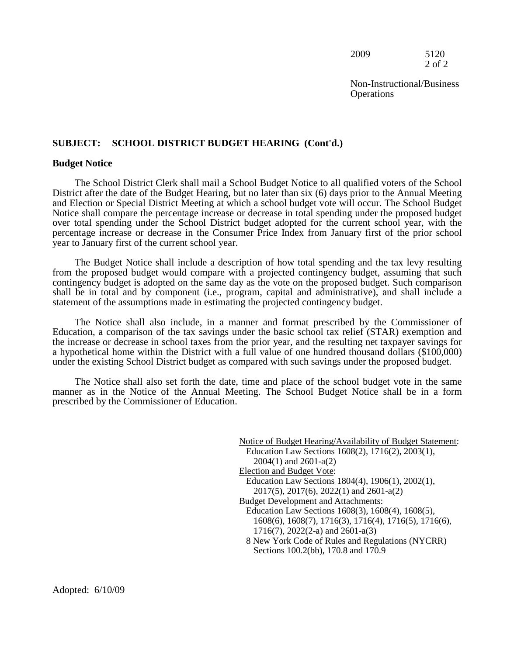2009 5120 2 of 2

Non-Instructional/Business **Operations** 

#### **SUBJECT: SCHOOL DISTRICT BUDGET HEARING (Cont'd.)**

#### **Budget Notice**

 year to January first of the current school year. The School District Clerk shall mail a School Budget Notice to all qualified voters of the School District after the date of the Budget Hearing, but no later than six (6) days prior to the Annual Meeting and Election or Special District Meeting at which a school budget vote will occur. The School Budget Notice shall compare the percentage increase or decrease in total spending under the proposed budget over total spending under the School District budget adopted for the current school year, with the percentage increase or decrease in the Consumer Price Index from January first of the prior school

The Budget Notice shall include a description of how total spending and the tax levy resulting from the proposed budget would compare with a projected contingency budget, assuming that such contingency budget is adopted on the same day as the vote on the proposed budget. Such comparison shall be in total and by component (i.e., program, capital and administrative), and shall include a statement of the assumptions made in estimating the projected contingency budget.

 the increase or decrease in school taxes from the prior year, and the resulting net taxpayer savings for The Notice shall also include, in a manner and format prescribed by the Commissioner of Education, a comparison of the tax savings under the basic school tax relief (STAR) exemption and a hypothetical home within the District with a full value of one hundred thousand dollars (\$100,000) under the existing School District budget as compared with such savings under the proposed budget.

The Notice shall also set forth the date, time and place of the school budget vote in the same manner as in the Notice of the Annual Meeting. The School Budget Notice shall be in a form prescribed by the Commissioner of Education.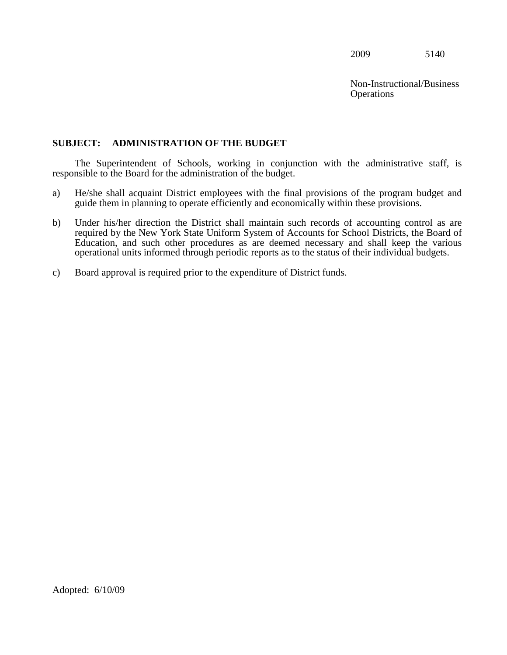**Operations** Non-Instructional/Business

# <span id="page-7-0"></span>**SUBJECT: ADMINISTRATION OF THE BUDGET**

 responsible to the Board for the administration of the budget. The Superintendent of Schools, working in conjunction with the administrative staff, is

- guide them in planning to operate efficiently and economically within these provisions. a) He/she shall acquaint District employees with the final provisions of the program budget and
- required by the New York State Uniform System of Accounts for School Districts, the Board of b) Under his/her direction the District shall maintain such records of accounting control as are Education, and such other procedures as are deemed necessary and shall keep the various operational units informed through periodic reports as to the status of their individual budgets.
- c) Board approval is required prior to the expenditure of District funds.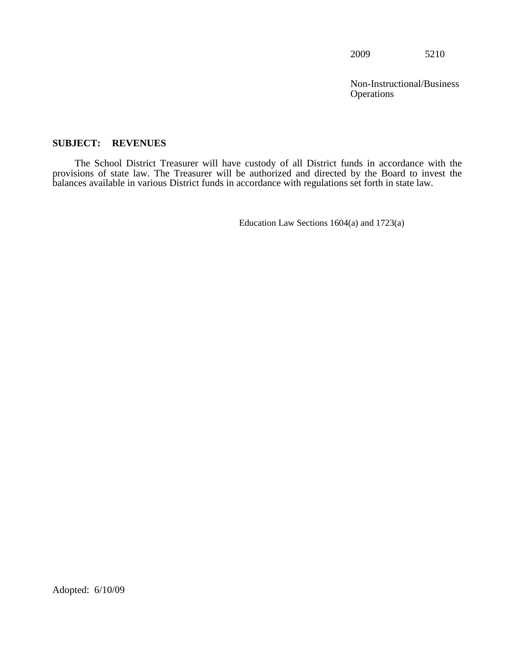**Operations** Non-Instructional/Business

# <span id="page-8-0"></span>**SUBJECT: REVENUES**

The School District Treasurer will have custody of all District funds in accordance with the provisions of state law. The Treasurer will be authorized and directed by the Board to invest the balances available in various District funds in accordance with regulations set forth in state law.

Education Law Sections 1604(a) and 1723(a)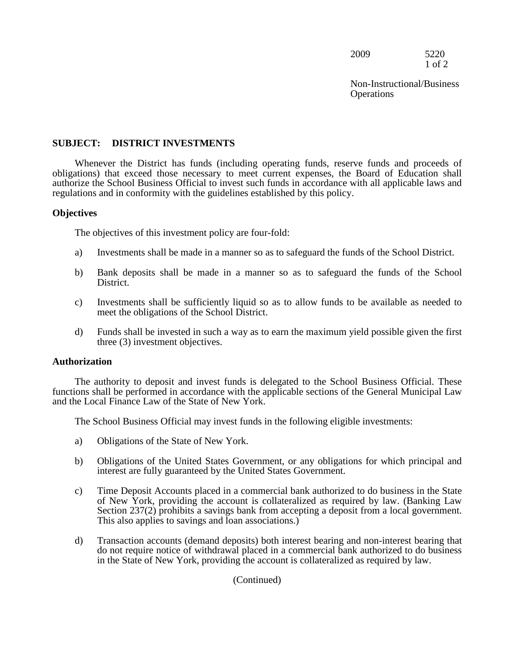2009 5220 1 of 2

Non-Instructional/Business **Operations** 

# **SUBJECT: DISTRICT INVESTMENTS**

Whenever the District has funds (including operating funds, reserve funds and proceeds of obligations) that exceed those necessary to meet current expenses, the Board of Education shall authorize the School Business Official to invest such funds in accordance with all applicable laws and regulations and in conformity with the guidelines established by this policy.

## **Objectives**

The objectives of this investment policy are four-fold:

- a) Investments shall be made in a manner so as to safeguard the funds of the School District.
- b) Bank deposits shall be made in a manner so as to safeguard the funds of the School District.
- c) Investments shall be sufficiently liquid so as to allow funds to be available as needed to meet the obligations of the School District.
- d) Funds shall be invested in such a way as to earn the maximum yield possible given the first three (3) investment objectives.

#### **Authorization**

 The authority to deposit and invest funds is delegated to the School Business Official. These functions shall be performed in accordance with the applicable sections of the General Municipal Law and the Local Finance Law of the State of New York.

The School Business Official may invest funds in the following eligible investments:

- a) Obligations of the State of New York.
- b) Obligations of the United States Government, or any obligations for which principal and interest are fully guaranteed by the United States Government.
- c) Time Deposit Accounts placed in a commercial bank authorized to do business in the State of New York, providing the account is collateralized as required by law. (Banking Law Section 237(2) prohibits a savings bank from accepting a deposit from a local government. This also applies to savings and loan associations.)
- d) Transaction accounts (demand deposits) both interest bearing and non-interest bearing that do not require notice of withdrawal placed in a commercial bank authorized to do business in the State of New York, providing the account is collateralized as required by law.

# (Continued)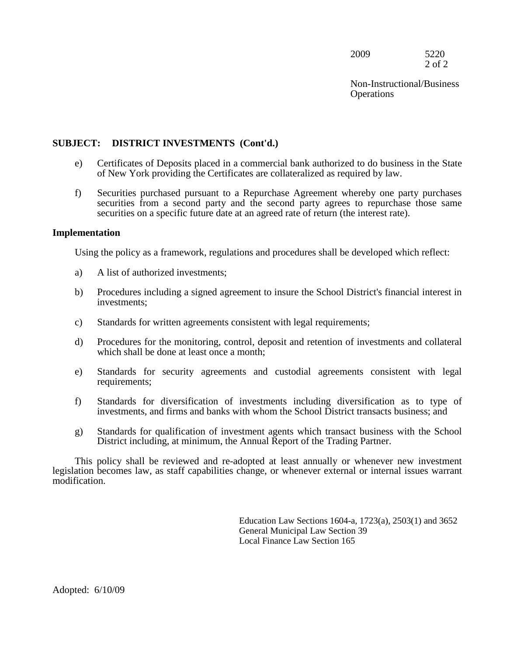2009 5220 2 of 2

Non-Instructional/Business **Operations** 

# **SUBJECT: DISTRICT INVESTMENTS (Cont'd.)**

- e) Certificates of Deposits placed in a commercial bank authorized to do business in the State of New York providing the Certificates are collateralized as required by law.
- f) Securities purchased pursuant to a Repurchase Agreement whereby one party purchases securities from a second party and the second party agrees to repurchase those same securities on a specific future date at an agreed rate of return (the interest rate).

#### **Implementation**

Using the policy as a framework, regulations and procedures shall be developed which reflect:

- a) A list of authorized investments;
- b) Procedures including a signed agreement to insure the School District's financial interest in investments;
- c) Standards for written agreements consistent with legal requirements;
- d) Procedures for the monitoring, control, deposit and retention of investments and collateral which shall be done at least once a month:
- e) Standards for security agreements and custodial agreements consistent with legal requirements;
- f) Standards for diversification of investments including diversification as to type of investments, and firms and banks with whom the School District transacts business; and
- g) Standards for qualification of investment agents which transact business with the School District including, at minimum, the Annual Report of the Trading Partner.

This policy shall be reviewed and re-adopted at least annually or whenever new investment legislation becomes law, as staff capabilities change, or whenever external or internal issues warrant modification.

> Education Law Sections 1604-a, 1723(a), 2503(1) and 3652 General Municipal Law Section 39 Local Finance Law Section 165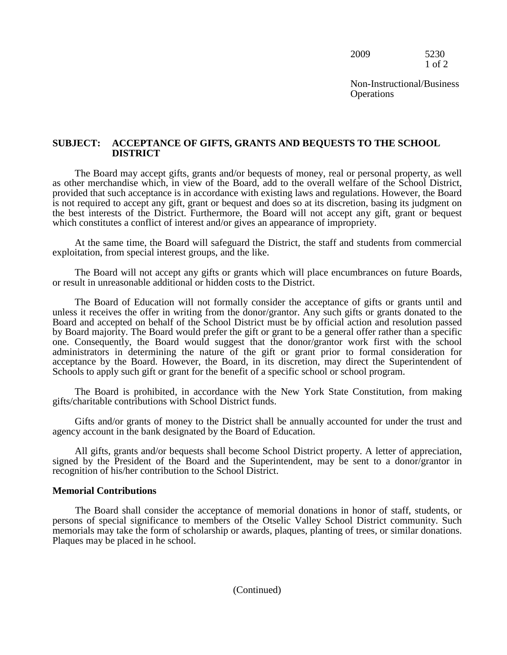2009 5230 1 of 2

Non-Instructional/Business **Operations** 

#### **SUBJECT: ACCEPTANCE OF GIFTS, GRANTS AND BEQUESTS TO THE SCHOOL DISTRICT**

 The Board may accept gifts, grants and/or bequests of money, real or personal property, as well provided that such acceptance is in accordance with existing laws and regulations. However, the Board is not required to accept any gift, grant or bequest and does so at its discretion, basing its judgment on the best interests of the District. Furthermore, the Board will not accept any gift, grant or bequest as other merchandise which, in view of the Board, add to the overall welfare of the School District, which constitutes a conflict of interest and/or gives an appearance of impropriety.

 exploitation, from special interest groups, and the like. At the same time, the Board will safeguard the District, the staff and students from commercial

 The Board will not accept any gifts or grants which will place encumbrances on future Boards, or result in unreasonable additional or hidden costs to the District.

 administrators in determining the nature of the gift or grant prior to formal consideration for The Board of Education will not formally consider the acceptance of gifts or grants until and unless it receives the offer in writing from the donor/grantor. Any such gifts or grants donated to the Board and accepted on behalf of the School District must be by official action and resolution passed by Board majority. The Board would prefer the gift or grant to be a general offer rather than a specific one. Consequently, the Board would suggest that the donor/grantor work first with the school acceptance by the Board. However, the Board, in its discretion, may direct the Superintendent of Schools to apply such gift or grant for the benefit of a specific school or school program.

The Board is prohibited, in accordance with the New York State Constitution, from making gifts/charitable contributions with School District funds.

Gifts and/or grants of money to the District shall be annually accounted for under the trust and agency account in the bank designated by the Board of Education.

 recognition of his/her contribution to the School District. All gifts, grants and/or bequests shall become School District property. A letter of appreciation, signed by the President of the Board and the Superintendent, may be sent to a donor/grantor in

#### **Memorial Contributions**

The Board shall consider the acceptance of memorial donations in honor of staff, students, or persons of special significance to members of the Otselic Valley School District community. Such memorials may take the form of scholarship or awards, plaques, planting of trees, or similar donations. Plaques may be placed in he school.

(Continued)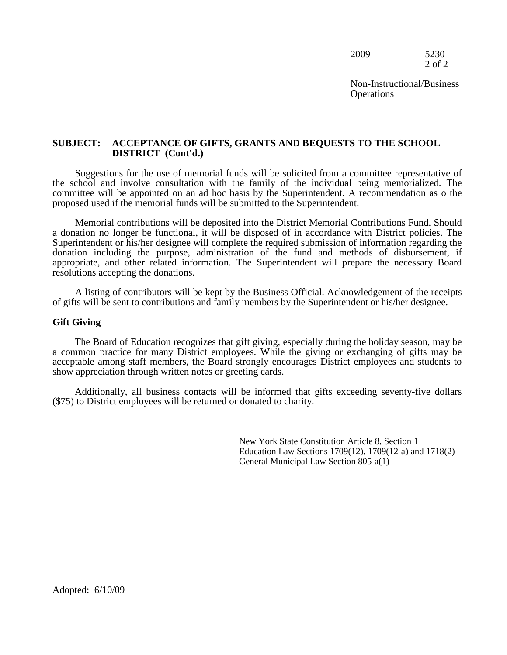| 2009 | 5230   |
|------|--------|
|      | 2 of 2 |

Non-Instructional/Business **Operations** 

#### **SUBJECT: ACCEPTANCE OF GIFTS, GRANTS AND BEQUESTS TO THE SCHOOL DISTRICT (Cont'd.)**

Suggestions for the use of memorial funds will be solicited from a committee representative of the school and involve consultation with the family of the individual being memorialized. The committee will be appointed on an ad hoc basis by the Superintendent. A recommendation as o the proposed used if the memorial funds will be submitted to the Superintendent.

 resolutions accepting the donations. Memorial contributions will be deposited into the District Memorial Contributions Fund. Should a donation no longer be functional, it will be disposed of in accordance with District policies. The Superintendent or his/her designee will complete the required submission of information regarding the donation including the purpose, administration of the fund and methods of disbursement, if appropriate, and other related information. The Superintendent will prepare the necessary Board

 A listing of contributors will be kept by the Business Official. Acknowledgement of the receipts of gifts will be sent to contributions and family members by the Superintendent or his/her designee.

#### **Gift Giving**

 The Board of Education recognizes that gift giving, especially during the holiday season, may be a common practice for many District employees. While the giving or exchanging of gifts may be acceptable among staff members, the Board strongly encourages District employees and students to show appreciation through written notes or greeting cards.

 Additionally, all business contacts will be informed that gifts exceeding seventy-five dollars (\$75) to District employees will be returned or donated to charity.

> New York State Constitution Article 8, Section 1 Education Law Sections 1709(12), 1709(12-a) and 1718(2) General Municipal Law Section 805-a(1)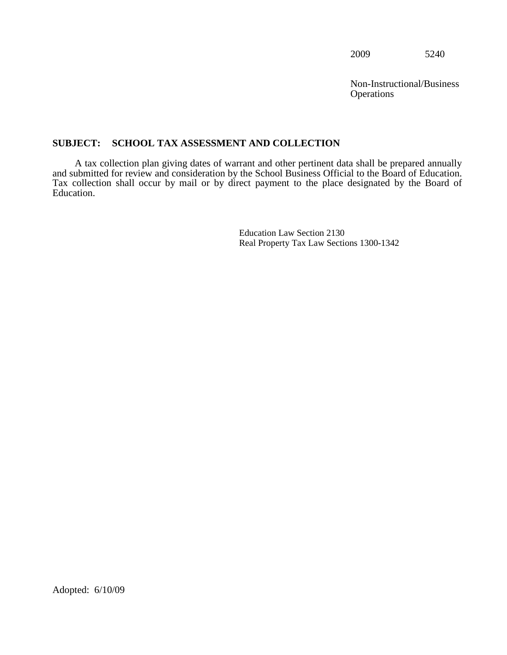Non-Instructional/Business **Operations** 

# <span id="page-13-0"></span>**SUBJECT: SCHOOL TAX ASSESSMENT AND COLLECTION**

A tax collection plan giving dates of warrant and other pertinent data shall be prepared annually and submitted for review and consideration by the School Business Official to the Board of Education. Tax collection shall occur by mail or by direct payment to the place designated by the Board of Education.

> Education Law Section 2130 Real Property Tax Law Sections 1300-1342

Adopted: 6/10/09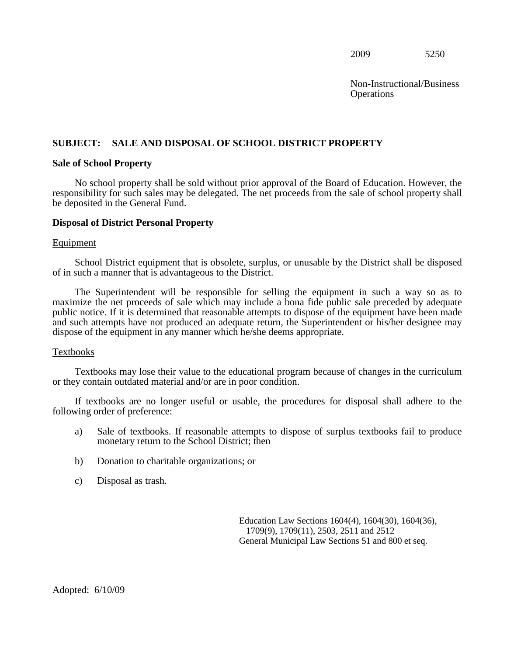**Operations** Non-Instructional/Business

# <span id="page-14-0"></span>**SUBJECT: SALE AND DISPOSAL OF SCHOOL DISTRICT PROPERTY Sale of School Property**

No school property shall be sold without prior approval of the Board of Education. However, the responsibility for such sales may be delegated. The net proceeds from the sale of school property shall be deposited in the General Fund.

#### **Disposal of District Personal Property**

#### Equipment

School District equipment that is obsolete, surplus, or unusable by the District shall be disposed of in such a manner that is advantageous to the District.

 and such attempts have not produced an adequate return, the Superintendent or his/her designee may The Superintendent will be responsible for selling the equipment in such a way so as to maximize the net proceeds of sale which may include a bona fide public sale preceded by adequate public notice. If it is determined that reasonable attempts to dispose of the equipment have been made dispose of the equipment in any manner which he/she deems appropriate.

#### Textbooks

Textbooks may lose their value to the educational program because of changes in the curriculum or they contain outdated material and/or are in poor condition.

following order of preference: If textbooks are no longer useful or usable, the procedures for disposal shall adhere to the

- a) Sale of textbooks. If reasonable attempts to dispose of surplus textbooks fail to produce monetary return to the School District; then
- b) Donation to charitable organizations; or
- c) Disposal as trash.

Education Law Sections 1604(4), 1604(30), 1604(36), 1709(9), 1709(11), 2503, 2511 and 2512 General Municipal Law Sections 51 and 800 et seq.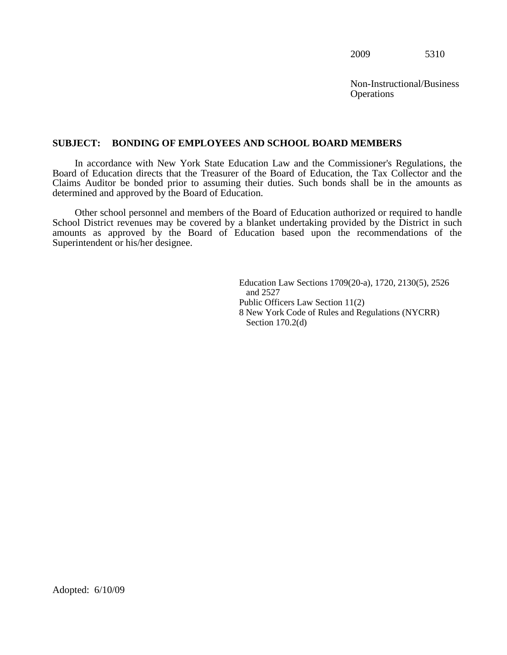Non-Instructional/Business **Operations** 

#### <span id="page-15-0"></span>**SUBJECT: BONDING OF EMPLOYEES AND SCHOOL BOARD MEMBERS**

 Claims Auditor be bonded prior to assuming their duties. Such bonds shall be in the amounts as In accordance with New York State Education Law and the Commissioner's Regulations, the Board of Education directs that the Treasurer of the Board of Education, the Tax Collector and the determined and approved by the Board of Education.

Other school personnel and members of the Board of Education authorized or required to handle School District revenues may be covered by a blanket undertaking provided by the District in such amounts as approved by the Board of Education based upon the recommendations of the Superintendent or his/her designee.

> Education Law Sections 1709(20-a), 1720, 2130(5), 2526 and 2527 Public Officers Law Section 11(2) 8 New York Code of Rules and Regulations (NYCRR) Section 170.2(d)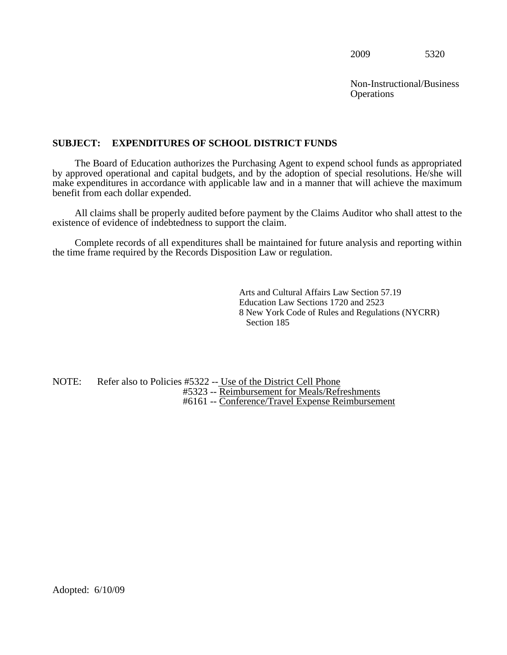**Operations** Non-Instructional/Business

# <span id="page-16-0"></span>**SUBJECT: EXPENDITURES OF SCHOOL DISTRICT FUNDS**

 by approved operational and capital budgets, and by the adoption of special resolutions. He/she will benefit from each dollar expended. The Board of Education authorizes the Purchasing Agent to expend school funds as appropriated make expenditures in accordance with applicable law and in a manner that will achieve the maximum

All claims shall be properly audited before payment by the Claims Auditor who shall attest to the existence of evidence of indebtedness to support the claim.

Complete records of all expenditures shall be maintained for future analysis and reporting within the time frame required by the Records Disposition Law or regulation.

> Arts and Cultural Affairs Law Section 57.19 Education Law Sections 1720 and 2523 8 New York Code of Rules and Regulations (NYCRR) Section 185

NOTE: Refer also to Policies #5322 -- Use of the District Cell Phone #5323 -- Reimbursement for Meals/Refreshments #6161 -- Conference/Travel Expense Reimbursement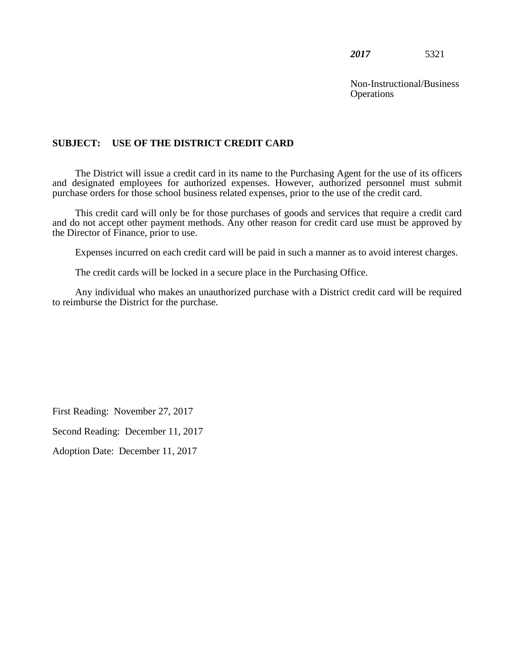Non-Instructional/Business **Operations** 

# **SUBJECT: USE OF THE DISTRICT CREDIT CARD**

 purchase orders for those school business related expenses, prior to the use of the credit card. The District will issue a credit card in its name to the Purchasing Agent for the use of its officers and designated employees for authorized expenses. However, authorized personnel must submit

 This credit card will only be for those purchases of goods and services that require a credit card and do not accept other payment methods. Any other reason for credit card use must be approved by the Director of Finance, prior to use.

Expenses incurred on each credit card will be paid in such a manner as to avoid interest charges.

The credit cards will be locked in a secure place in the Purchasing Office.

Any individual who makes an unauthorized purchase with a District credit card will be required to reimburse the District for the purchase.

First Reading: November 27, 2017

Second Reading: December 11, 2017

Adoption Date: December 11, 2017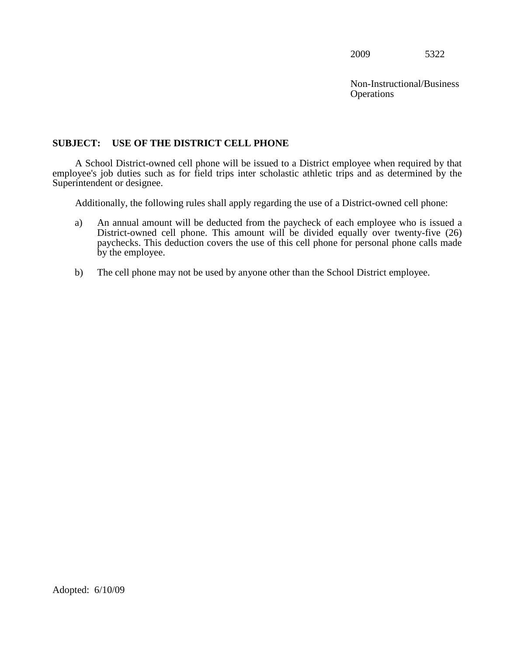**Operations** Non-Instructional/Business

# <span id="page-18-0"></span>**SUBJECT: USE OF THE DISTRICT CELL PHONE**

A School District-owned cell phone will be issued to a District employee when required by that employee's job duties such as for field trips inter scholastic athletic trips and as determined by the Superintendent or designee.

Additionally, the following rules shall apply regarding the use of a District-owned cell phone:

- District-owned cell phone. This amount will be divided equally over twenty-five (26) a) An annual amount will be deducted from the paycheck of each employee who is issued a paychecks. This deduction covers the use of this cell phone for personal phone calls made by the employee.
- b) The cell phone may not be used by anyone other than the School District employee.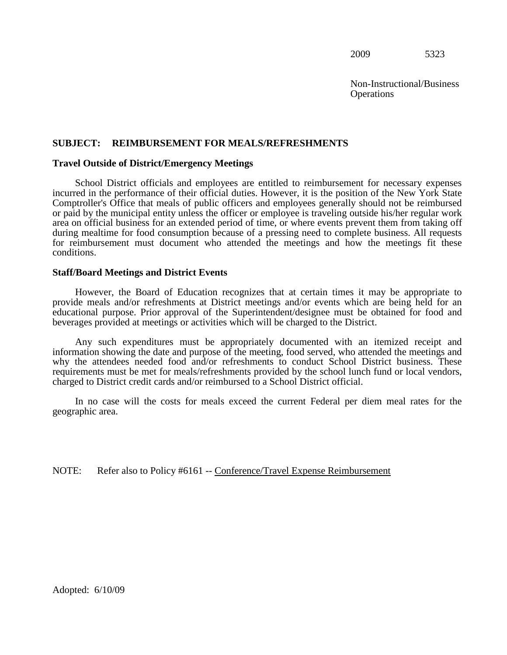**Operations** Non-Instructional/Business

#### <span id="page-19-0"></span>**SUBJECT: REIMBURSEMENT FOR MEALS/REFRESHMENTS**

#### **Travel Outside of District/Emergency Meetings**

 Comptroller's Office that meals of public officers and employees generally should not be reimbursed School District officials and employees are entitled to reimbursement for necessary expenses incurred in the performance of their official duties. However, it is the position of the New York State or paid by the municipal entity unless the officer or employee is traveling outside his/her regular work area on official business for an extended period of time, or where events prevent them from taking off during mealtime for food consumption because of a pressing need to complete business. All requests for reimbursement must document who attended the meetings and how the meetings fit these conditions.

#### **Staff/Board Meetings and District Events**

 educational purpose. Prior approval of the Superintendent/designee must be obtained for food and However, the Board of Education recognizes that at certain times it may be appropriate to provide meals and/or refreshments at District meetings and/or events which are being held for an beverages provided at meetings or activities which will be charged to the District.

Any such expenditures must be appropriately documented with an itemized receipt and information showing the date and purpose of the meeting, food served, who attended the meetings and why the attendees needed food and/or refreshments to conduct School District business. These requirements must be met for meals/refreshments provided by the school lunch fund or local vendors, charged to District credit cards and/or reimbursed to a School District official.

In no case will the costs for meals exceed the current Federal per diem meal rates for the geographic area.

NOTE: Refer also to Policy #6161 -- Conference/Travel Expense Reimbursement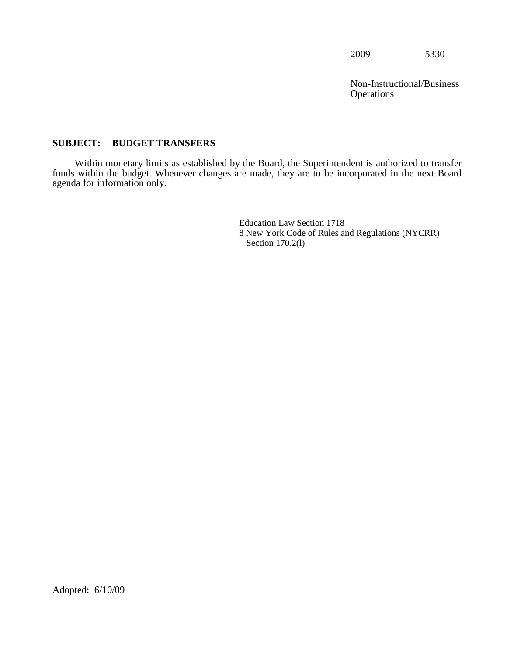**Operations** Non-Instructional/Business

# <span id="page-20-0"></span>**SUBJECT: BUDGET TRANSFERS**

Within monetary limits as established by the Board, the Superintendent is authorized to transfer funds within the budget. Whenever changes are made, they are to be incorporated in the next Board agenda for information only.

> Education Law Section 1718 8 New York Code of Rules and Regulations (NYCRR) Section 170.2(l)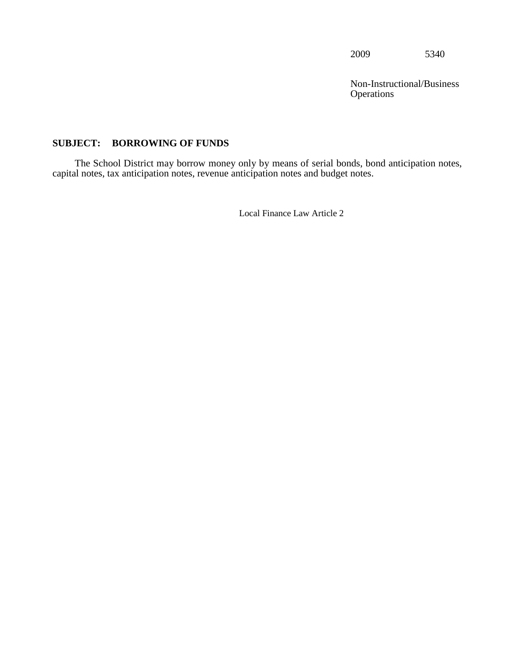**Operations** Non-Instructional/Business

# <span id="page-21-0"></span>**SUBJECT: BORROWING OF FUNDS**

The School District may borrow money only by means of serial bonds, bond anticipation notes, capital notes, tax anticipation notes, revenue anticipation notes and budget notes.

Local Finance Law Article 2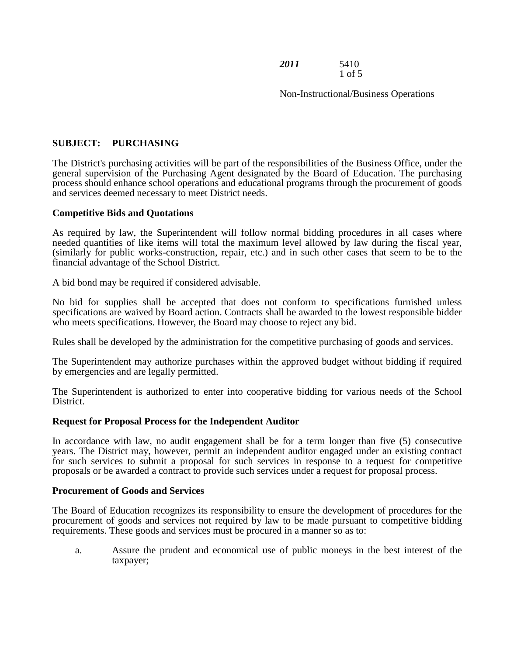*2011* 5410 1 of 5

Non-Instructional/Business Operations

# **SUBJECT: PURCHASING**

The District's purchasing activities will be part of the responsibilities of the Business Office, under the general supervision of the Purchasing Agent designated by the Board of Education. The purchasing process should enhance school operations and educational programs through the procurement of goods and services deemed necessary to meet District needs.

#### **Competitive Bids and Quotations**

As required by law, the Superintendent will follow normal bidding procedures in all cases where needed quantities of like items will total the maximum level allowed by law during the fiscal year, (similarly for public works-construction, repair, etc.) and in such other cases that seem to be to the financial advantage of the School District.

A bid bond may be required if considered advisable.

No bid for supplies shall be accepted that does not conform to specifications furnished unless specifications are waived by Board action. Contracts shall be awarded to the lowest responsible bidder who meets specifications. However, the Board may choose to reject any bid.

Rules shall be developed by the administration for the competitive purchasing of goods and services.

The Superintendent may authorize purchases within the approved budget without bidding if required by emergencies and are legally permitted.

The Superintendent is authorized to enter into cooperative bidding for various needs of the School District.

#### **Request for Proposal Process for the Independent Auditor**

In accordance with law, no audit engagement shall be for a term longer than five (5) consecutive years. The District may, however, permit an independent auditor engaged under an existing contract for such services to submit a proposal for such services in response to a request for competitive proposals or be awarded a contract to provide such services under a request for proposal process.

#### **Procurement of Goods and Services**

The Board of Education recognizes its responsibility to ensure the development of procedures for the procurement of goods and services not required by law to be made pursuant to competitive bidding requirements. These goods and services must be procured in a manner so as to:

a. Assure the prudent and economical use of public moneys in the best interest of the taxpayer;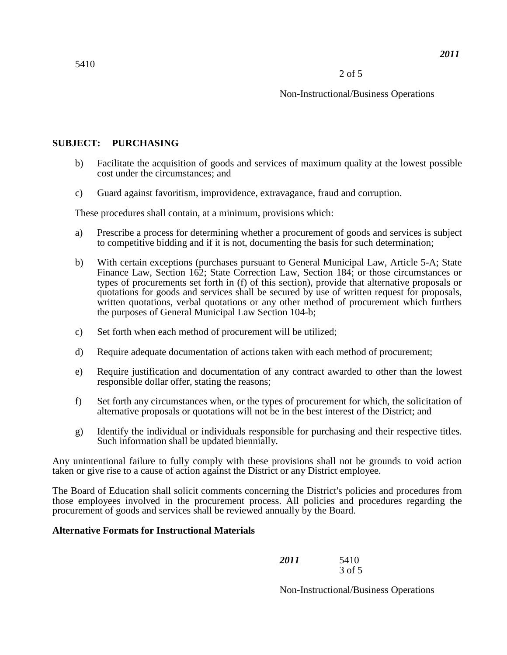# Non-Instructional/Business Operations

# **SUBJECT: PURCHASING**

- b) Facilitate the acquisition of goods and services of maximum quality at the lowest possible cost under the circumstances; and
- c) Guard against favoritism, improvidence, extravagance, fraud and corruption.

These procedures shall contain, at a minimum, provisions which:

- a) Prescribe a process for determining whether a procurement of goods and services is subject to competitive bidding and if it is not, documenting the basis for such determination;
- the purposes of General Municipal Law Section 104-b; b) With certain exceptions (purchases pursuant to General Municipal Law, Article 5-A; State Finance Law, Section 162; State Correction Law, Section 184; or those circumstances or types of procurements set forth in (f) of this section), provide that alternative proposals or quotations for goods and services shall be secured by use of written request for proposals, written quotations, verbal quotations or any other method of procurement which furthers
- c) Set forth when each method of procurement will be utilized;
- d) Require adequate documentation of actions taken with each method of procurement;
- e) Require justification and documentation of any contract awarded to other than the lowest responsible dollar offer, stating the reasons;
- f) Set forth any circumstances when, or the types of procurement for which, the solicitation of alternative proposals or quotations will not be in the best interest of the District; and
- g) Identify the individual or individuals responsible for purchasing and their respective titles. Such information shall be updated biennially.

 Any unintentional failure to fully comply with these provisions shall not be grounds to void action taken or give rise to a cause of action against the District or any District employee.

 The Board of Education shall solicit comments concerning the District's policies and procedures from those employees involved in the procurement process. All policies and procedures regarding the procurement of goods and services shall be reviewed annually by the Board.

# **Alternative Formats for Instructional Materials**

| 2011 | 5410   |
|------|--------|
|      | 3 of 5 |

Non-Instructional/Business Operations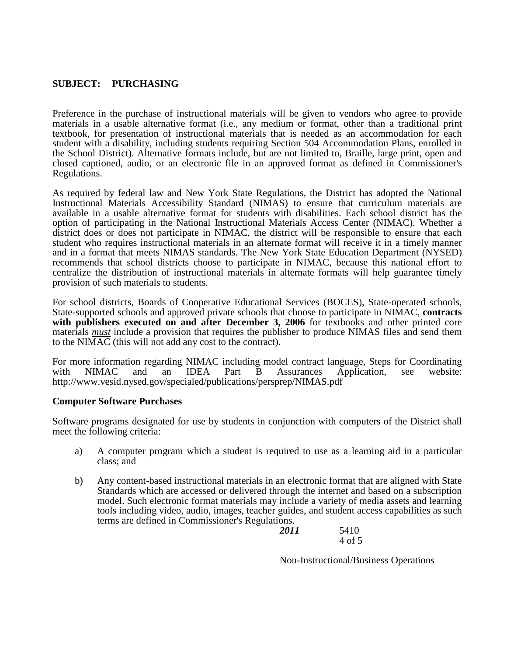# **SUBJECT: PURCHASING**

 textbook, for presentation of instructional materials that is needed as an accommodation for each Preference in the purchase of instructional materials will be given to vendors who agree to provide materials in a usable alternative format (i.e., any medium or format, other than a traditional print student with a disability, including students requiring Section 504 Accommodation Plans, enrolled in the School District). Alternative formats include, but are not limited to, Braille, large print, open and closed captioned, audio, or an electronic file in an approved format as defined in Commissioner's Regulations.

 As required by federal law and New York State Regulations, the District has adopted the National and in a format that meets NIMAS standards. The New York State Education Department (NYSED) Instructional Materials Accessibility Standard (NIMAS) to ensure that curriculum materials are available in a usable alternative format for students with disabilities. Each school district has the option of participating in the National Instructional Materials Access Center (NIMAC). Whether a district does or does not participate in NIMAC, the district will be responsible to ensure that each student who requires instructional materials in an alternate format will receive it in a timely manner recommends that school districts choose to participate in NIMAC, because this national effort to centralize the distribution of instructional materials in alternate formats will help guarantee timely provision of such materials to students.

materials *must* include a provision that requires the publisher to produce NIMAS files and send them<br>to the NIMAC (this will not add any cost to the contract) For school districts, Boards of Cooperative Educational Services (BOCES), State-operated schools, State-supported schools and approved private schools that choose to participate in NIMAC, **contracts**  with publishers executed on and after December 3, 2006 for textbooks and other printed core to the NIMAC (this will not add any cost to the contract).

For more information regarding NIMAC including model contract language, Steps for Coordinating with NIMAC and an IDEA Part B Assurances Application, see website: and an IDEA Part B Assurances Application, see http://www.vesid.nysed.gov/specialed/publications/persprep/NIMAS.pdf

# **Computer Software Purchases**

Software programs designated for use by students in conjunction with computers of the District shall meet the following criteria:

- a) A computer program which a student is required to use as a learning aid in a particular class; and
- b) Any content-based instructional materials in an electronic format that are aligned with State Standards which are accessed or delivered through the internet and based on a subscription model. Such electronic format materials may include a variety of media assets and learning tools including video, audio, images, teacher guides, and student access capabilities as such terms are defined in Commissioner's Regulations.

| 2011 | 5410   |
|------|--------|
|      | 4 of 5 |

Non-Instructional/Business Operations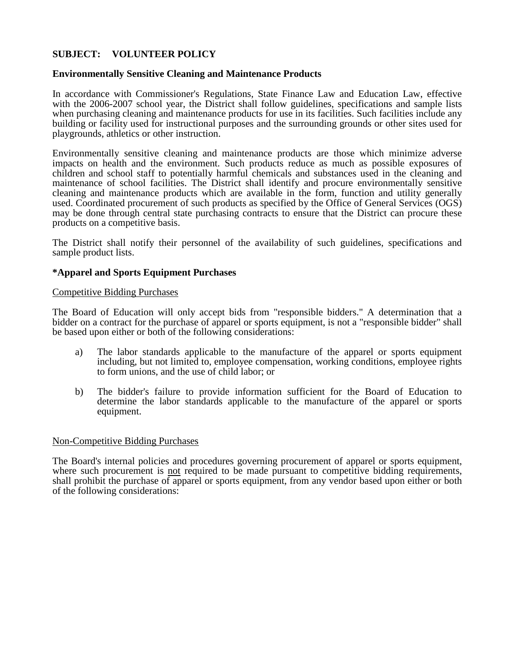# **SUBJECT: VOLUNTEER POLICY**

#### **Environmentally Sensitive Cleaning and Maintenance Products**

 with the 2006-2007 school year, the District shall follow guidelines, specifications and sample lists In accordance with Commissioner's Regulations, State Finance Law and Education Law, effective when purchasing cleaning and maintenance products for use in its facilities. Such facilities include any building or facility used for instructional purposes and the surrounding grounds or other sites used for playgrounds, athletics or other instruction.

 children and school staff to potentially harmful chemicals and substances used in the cleaning and used. Coordinated procurement of such products as specified by the Office of General Services (OGS) Environmentally sensitive cleaning and maintenance products are those which minimize adverse impacts on health and the environment. Such products reduce as much as possible exposures of maintenance of school facilities. The District shall identify and procure environmentally sensitive cleaning and maintenance products which are available in the form, function and utility generally may be done through central state purchasing contracts to ensure that the District can procure these products on a competitive basis.

The District shall notify their personnel of the availability of such guidelines, specifications and sample product lists.

#### **\*Apparel and Sports Equipment Purchases**

#### Competitive Bidding Purchases

The Board of Education will only accept bids from "responsible bidders." A determination that a bidder on a contract for the purchase of apparel or sports equipment, is not a "responsible bidder" shall be based upon either or both of the following considerations:

- a) The labor standards applicable to the manufacture of the apparel or sports equipment including, but not limited to, employee compensation, working conditions, employee rights to form unions, and the use of child labor; or
- b) The bidder's failure to provide information sufficient for the Board of Education to determine the labor standards applicable to the manufacture of the apparel or sports equipment.

#### Non-Competitive Bidding Purchases

The Board's internal policies and procedures governing procurement of apparel or sports equipment, where such procurement is not required to be made pursuant to competitive bidding requirements, shall prohibit the purchase of apparel or sports equipment, from any vendor based upon either or both of the following considerations: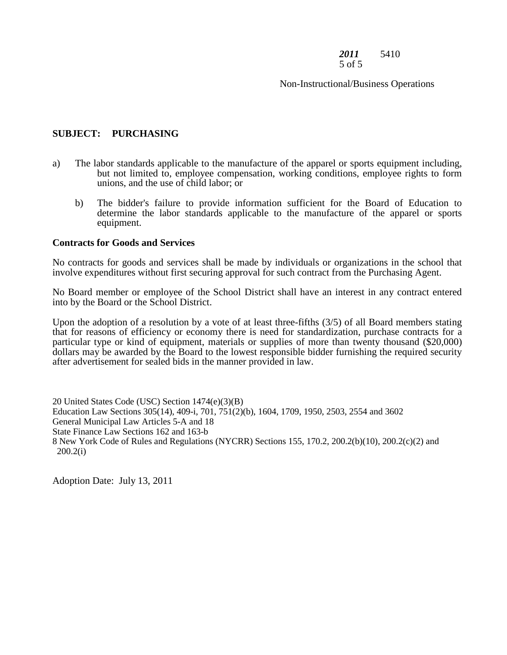#### *2011* 5410 5 of 5

Non-Instructional/Business Operations

# **SUBJECT: PURCHASING**

- a) The labor standards applicable to the manufacture of the apparel or sports equipment including, but not limited to, employee compensation, working conditions, employee rights to form unions, and the use of child labor; or
	- b) The bidder's failure to provide information sufficient for the Board of Education to determine the labor standards applicable to the manufacture of the apparel or sports equipment.

#### **Contracts for Goods and Services**

 involve expenditures without first securing approval for such contract from the Purchasing Agent. No contracts for goods and services shall be made by individuals or organizations in the school that

No Board member or employee of the School District shall have an interest in any contract entered into by the Board or the School District.

 Upon the adoption of a resolution by a vote of at least three-fifths (3/5) of all Board members stating that for reasons of efficiency or economy there is need for standardization, purchase contracts for a particular type or kind of equipment, materials or supplies of more than twenty thousand (\$20,000) dollars may be awarded by the Board to the lowest responsible bidder furnishing the required security after advertisement for sealed bids in the manner provided in law.

20 United States Code (USC) Section 1474(e)(3)(B) Education Law Sections 305(14), 409-i, 701, 751(2)(b), 1604, 1709, 1950, 2503, 2554 and 3602 General Municipal Law Articles 5-A and 18 State Finance Law Sections 162 and 163-b 8 New York Code of Rules and Regulations (NYCRR) Sections 155, 170.2, 200.2(b)(10), 200.2(c)(2) and 200.2(i)

Adoption Date: July 13, 2011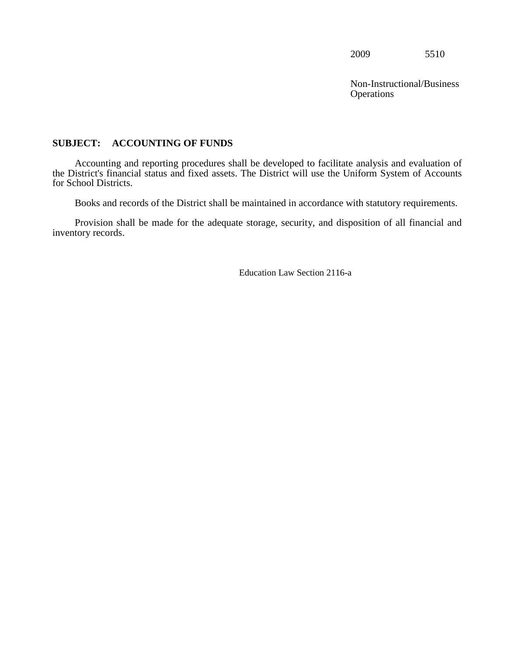**Operations** Non-Instructional/Business

# <span id="page-27-0"></span>**SUBJECT: ACCOUNTING OF FUNDS**

Accounting and reporting procedures shall be developed to facilitate analysis and evaluation of the District's financial status and fixed assets. The District will use the Uniform System of Accounts for School Districts.

Books and records of the District shall be maintained in accordance with statutory requirements.

Provision shall be made for the adequate storage, security, and disposition of all financial and inventory records.

Education Law Section 2116-a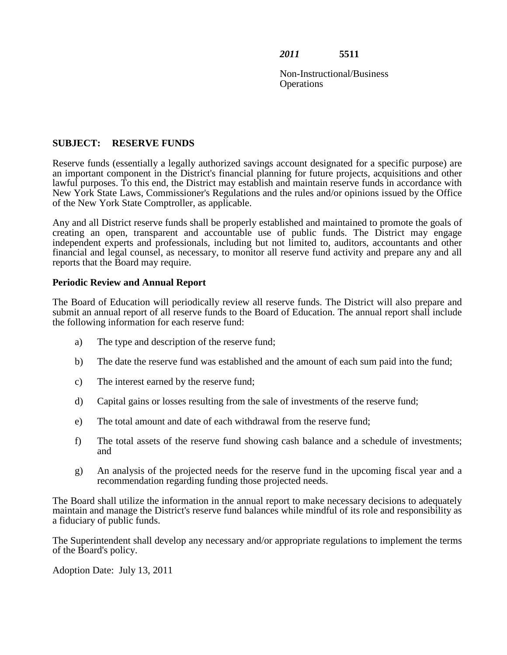Non-Instructional/Business **Operations** 

# **SUBJECT: RESERVE FUNDS**

 Reserve funds (essentially a legally authorized savings account designated for a specific purpose) are an important component in the District's financial planning for future projects, acquisitions and other lawful purposes. To this end, the District may establish and maintain reserve funds in accordance with New York State Laws, Commissioner's Regulations and the rules and/or opinions issued by the Office of the New York State Comptroller, as applicable.

 Any and all District reserve funds shall be properly established and maintained to promote the goals of creating an open, transparent and accountable use of public funds. The District may engage reports that the Board may require. independent experts and professionals, including but not limited to, auditors, accountants and other financial and legal counsel, as necessary, to monitor all reserve fund activity and prepare any and all

# **Periodic Review and Annual Report**

The Board of Education will periodically review all reserve funds. The District will also prepare and submit an annual report of all reserve funds to the Board of Education. The annual report shall include the following information for each reserve fund:

- a) The type and description of the reserve fund;
- b) The date the reserve fund was established and the amount of each sum paid into the fund;
- c) The interest earned by the reserve fund;
- d) Capital gains or losses resulting from the sale of investments of the reserve fund;
- The total amount and date of each withdrawal from the reserve fund:
- e) The total amount and date of each withdrawal from the reserve fund;<br>f) The total assets of the reserve fund showing cash balance and a schedule of investments; and
- g) An analysis of the projected needs for the reserve fund in the upcoming fiscal year and a recommendation regarding funding those projected needs.

 maintain and manage the District's reserve fund balances while mindful of its role and responsibility as The Board shall utilize the information in the annual report to make necessary decisions to adequately a fiduciary of public funds.

The Superintendent shall develop any necessary and/or appropriate regulations to implement the terms of the Board's policy.

Adoption Date: July 13, 2011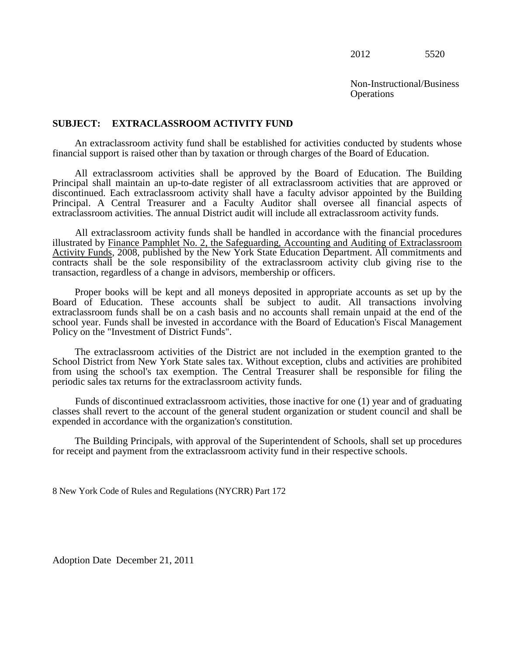**Operations** Non-Instructional/Business

#### <span id="page-29-0"></span>**SUBJECT: EXTRACLASSROOM ACTIVITY FUND**

An extraclassroom activity fund shall be established for activities conducted by students whose financial support is raised other than by taxation or through charges of the Board of Education.

 discontinued. Each extraclassroom activity shall have a faculty advisor appointed by the Building All extraclassroom activities shall be approved by the Board of Education. The Building Principal shall maintain an up-to-date register of all extraclassroom activities that are approved or Principal. A Central Treasurer and a Faculty Auditor shall oversee all financial aspects of extraclassroom activities. The annual District audit will include all extraclassroom activity funds.

All extraclassroom activity funds shall be handled in accordance with the financial procedures illustrated by Finance Pamphlet No. 2, the Safeguarding, Accounting and Auditing of Extraclassroom Activity Funds, 2008, published by the New York State Education Department. All commitments and contracts shall be the sole responsibility of the extraclassroom activity club giving rise to the transaction, regardless of a change in advisors, membership or officers.

 Board of Education. These accounts shall be subject to audit. All transactions involving extraclassroom funds shall be on a cash basis and no accounts shall remain unpaid at the end of the Proper books will be kept and all moneys deposited in appropriate accounts as set up by the school year. Funds shall be invested in accordance with the Board of Education's Fiscal Management Policy on the "Investment of District Funds".

The extraclassroom activities of the District are not included in the exemption granted to the School District from New York State sales tax. Without exception, clubs and activities are prohibited from using the school's tax exemption. The Central Treasurer shall be responsible for filing the periodic sales tax returns for the extraclassroom activity funds.

 Funds of discontinued extraclassroom activities, those inactive for one (1) year and of graduating classes shall revert to the account of the general student organization or student council and shall be expended in accordance with the organization's constitution.

The Building Principals, with approval of the Superintendent of Schools, shall set up procedures for receipt and payment from the extraclassroom activity fund in their respective schools.

8 New York Code of Rules and Regulations (NYCRR) Part 172

Adoption Date December 21, 2011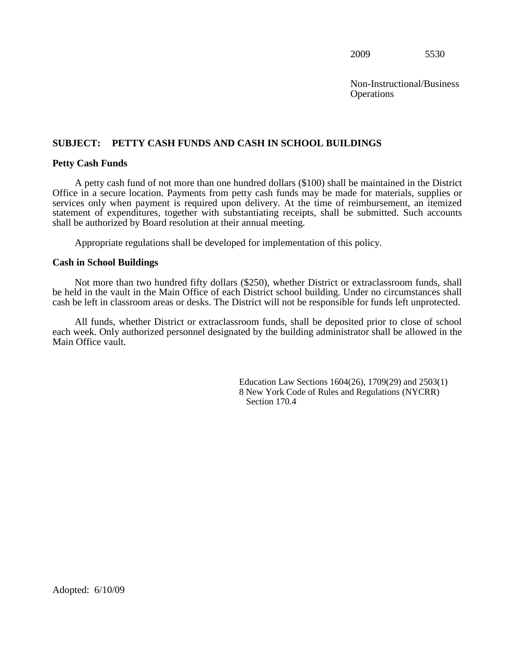**Operations** Non-Instructional/Business

# <span id="page-30-0"></span>**SUBJECT: PETTY CASH FUNDS AND CASH IN SCHOOL BUILDINGS**

#### **Petty Cash Funds**

 Office in a secure location. Payments from petty cash funds may be made for materials, supplies or A petty cash fund of not more than one hundred dollars (\$100) shall be maintained in the District services only when payment is required upon delivery. At the time of reimbursement, an itemized statement of expenditures, together with substantiating receipts, shall be submitted. Such accounts shall be authorized by Board resolution at their annual meeting.

Appropriate regulations shall be developed for implementation of this policy.

#### **Cash in School Buildings**

 Not more than two hundred fifty dollars (\$250), whether District or extraclassroom funds, shall be held in the vault in the Main Office of each District school building. Under no circumstances shall cash be left in classroom areas or desks. The District will not be responsible for funds left unprotected.

 Main Office vault. All funds, whether District or extraclassroom funds, shall be deposited prior to close of school each week. Only authorized personnel designated by the building administrator shall be allowed in the

> Education Law Sections 1604(26), 1709(29) and 2503(1) 8 New York Code of Rules and Regulations (NYCRR) Section 170.4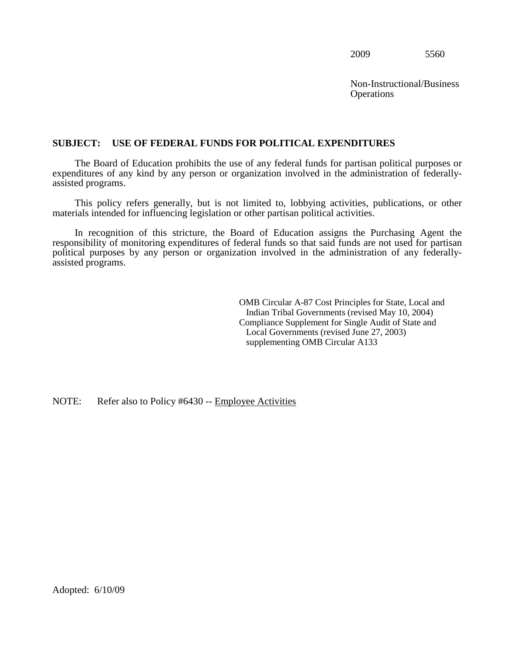Non-Instructional/Business **Operations** 

## <span id="page-31-0"></span>**SUBJECT: USE OF FEDERAL FUNDS FOR POLITICAL EXPENDITURES**

The Board of Education prohibits the use of any federal funds for partisan political purposes or expenditures of any kind by any person or organization involved in the administration of federallyassisted programs.

 This policy refers generally, but is not limited to, lobbying activities, publications, or other materials intended for influencing legislation or other partisan political activities.

 In recognition of this stricture, the Board of Education assigns the Purchasing Agent the responsibility of monitoring expenditures of federal funds so that said funds are not used for partisan political purposes by any person or organization involved in the administration of any federallyassisted programs.

> OMB Circular A-87 Cost Principles for State, Local and Indian Tribal Governments (revised May 10, 2004) Compliance Supplement for Single Audit of State and Local Governments (revised June 27, 2003) supplementing OMB Circular A133

# NOTE: Refer also to Policy #6430 -- Employee Activities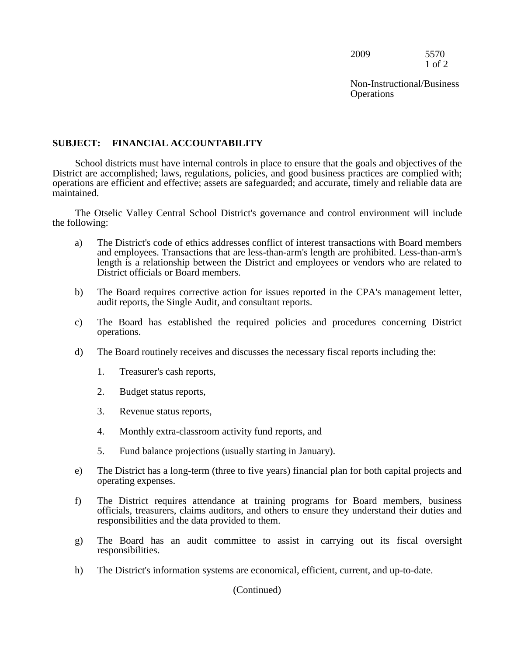2009 5570 1 of 2

**Operations** Non-Instructional/Business

# **SUBJECT: FINANCIAL ACCOUNTABILITY**

 District are accomplished; laws, regulations, policies, and good business practices are complied with; School districts must have internal controls in place to ensure that the goals and objectives of the operations are efficient and effective; assets are safeguarded; and accurate, timely and reliable data are maintained.

The Otselic Valley Central School District's governance and control environment will include the following:

- length is a relationship between the District and employees or vendors who are related to a) The District's code of ethics addresses conflict of interest transactions with Board members and employees. Transactions that are less-than-arm's length are prohibited. Less-than-arm's District officials or Board members.
- b) The Board requires corrective action for issues reported in the CPA's management letter, audit reports, the Single Audit, and consultant reports.
- c) The Board has established the required policies and procedures concerning District operations.
- d) The Board routinely receives and discusses the necessary fiscal reports including the:
	- 1. Treasurer's cash reports,
	- 2. Budget status reports,
	- 3. Revenue status reports,
	- 4. Monthly extra-classroom activity fund reports, and
	- 5. Fund balance projections (usually starting in January).
- e) The District has a long-term (three to five years) financial plan for both capital projects and operating expenses.
- responsibilities and the data provided to them. f) The District requires attendance at training programs for Board members, business officials, treasurers, claims auditors, and others to ensure they understand their duties and
- g) The Board has an audit committee to assist in carrying out its fiscal oversight responsibilities.
- h) The District's information systems are economical, efficient, current, and up-to-date.

(Continued)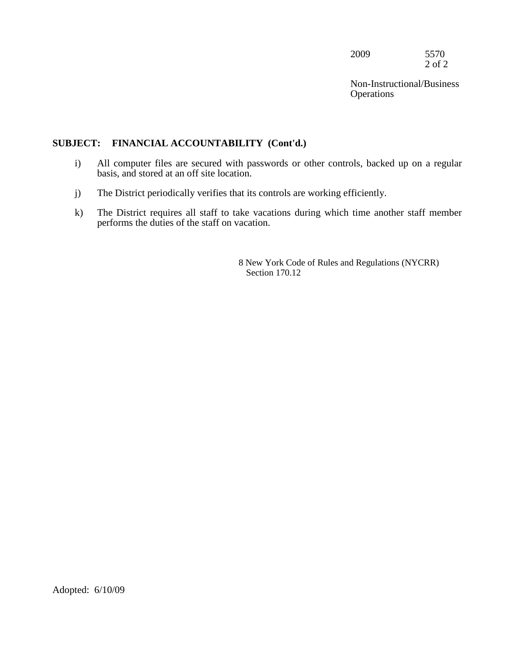2009 5570 2 of 2

**Operations** Non-Instructional/Business

# **SUBJECT: FINANCIAL ACCOUNTABILITY (Cont'd.)**

- i) All computer files are secured with passwords or other controls, backed up on a regular basis, and stored at an off site location.
- j) The District periodically verifies that its controls are working efficiently.
- k) The District requires all staff to take vacations during which time another staff member performs the duties of the staff on vacation.

8 New York Code of Rules and Regulations (NYCRR) Section 170.12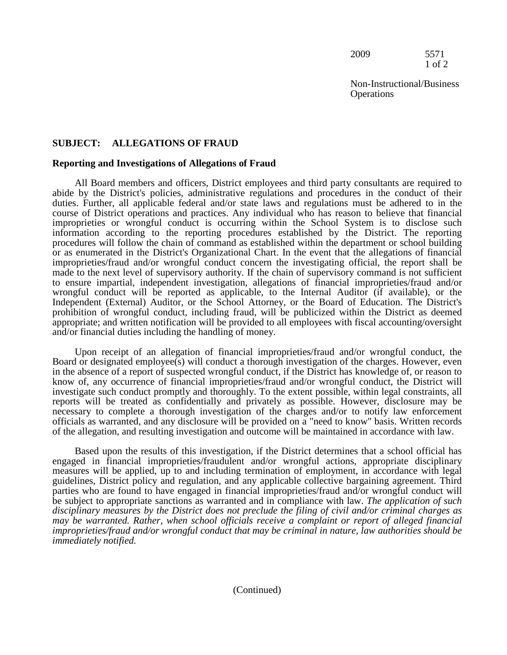2009 5571 1 of 2

Non-Instructional/Business **Operations** 

# **SUBJECT: ALLEGATIONS OF FRAUD**

# **Reporting and Investigations of Allegations of Fraud**

 All Board members and officers, District employees and third party consultants are required to Independent (External) Auditor, or the School Attorney, or the Board of Education. The District's and/or financial duties including the handling of money. abide by the District's policies, administrative regulations and procedures in the conduct of their duties. Further, all applicable federal and/or state laws and regulations must be adhered to in the course of District operations and practices. Any individual who has reason to believe that financial improprieties or wrongful conduct is occurring within the School System is to disclose such information according to the reporting procedures established by the District. The reporting procedures will follow the chain of command as established within the department or school building or as enumerated in the District's Organizational Chart. In the event that the allegations of financial improprieties/fraud and/or wrongful conduct concern the investigating official, the report shall be made to the next level of supervisory authority. If the chain of supervisory command is not sufficient to ensure impartial, independent investigation, allegations of financial improprieties/fraud and/or wrongful conduct will be reported as applicable, to the Internal Auditor (if available), or the prohibition of wrongful conduct, including fraud, will be publicized within the District as deemed appropriate; and written notification will be provided to all employees with fiscal accounting/oversight

 reports will be treated as confidentially and privately as possible. However, disclosure may be Upon receipt of an allegation of financial improprieties/fraud and/or wrongful conduct, the Board or designated employee(s) will conduct a thorough investigation of the charges. However, even in the absence of a report of suspected wrongful conduct, if the District has knowledge of, or reason to know of, any occurrence of financial improprieties/fraud and/or wrongful conduct, the District will investigate such conduct promptly and thoroughly. To the extent possible, within legal constraints, all necessary to complete a thorough investigation of the charges and/or to notify law enforcement officials as warranted, and any disclosure will be provided on a "need to know" basis. Written records of the allegation, and resulting investigation and outcome will be maintained in accordance with law.

 *disciplinary measures by the District does not preclude the filing of civil and/or criminal charges as* Based upon the results of this investigation, if the District determines that a school official has engaged in financial improprieties/fraudulent and/or wrongful actions, appropriate disciplinary measures will be applied, up to and including termination of employment, in accordance with legal guidelines, District policy and regulation, and any applicable collective bargaining agreement. Third parties who are found to have engaged in financial improprieties/fraud and/or wrongful conduct will be subject to appropriate sanctions as warranted and in compliance with law. *The application of such may be warranted. Rather, when school officials receive a complaint or report of alleged financial improprieties/fraud and/or wrongful conduct that may be criminal in nature, law authorities should be immediately notified.*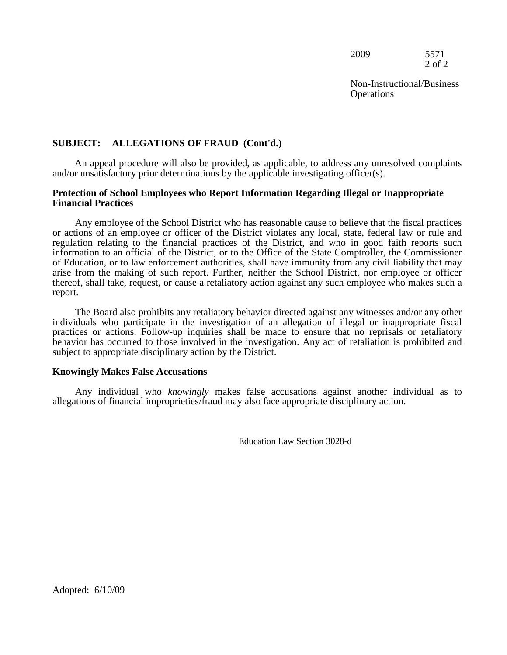2009 5571 2 of 2

Non-Instructional/Business **Operations** 

# **SUBJECT: ALLEGATIONS OF FRAUD (Cont'd.)**

An appeal procedure will also be provided, as applicable, to address any unresolved complaints and/or unsatisfactory prior determinations by the applicable investigating officer(s).

#### **Protection of School Employees who Report Information Regarding Illegal or Inappropriate Financial Practices**

 or actions of an employee or officer of the District violates any local, state, federal law or rule and Any employee of the School District who has reasonable cause to believe that the fiscal practices regulation relating to the financial practices of the District, and who in good faith reports such information to an official of the District, or to the Office of the State Comptroller, the Commissioner of Education, or to law enforcement authorities, shall have immunity from any civil liability that may arise from the making of such report. Further, neither the School District, nor employee or officer thereof, shall take, request, or cause a retaliatory action against any such employee who makes such a report.

 practices or actions. Follow-up inquiries shall be made to ensure that no reprisals or retaliatory The Board also prohibits any retaliatory behavior directed against any witnesses and/or any other individuals who participate in the investigation of an allegation of illegal or inappropriate fiscal behavior has occurred to those involved in the investigation. Any act of retaliation is prohibited and subject to appropriate disciplinary action by the District.

#### **Knowingly Makes False Accusations**

 allegations of financial improprieties/fraud may also face appropriate disciplinary action. Any individual who *knowingly* makes false accusations against another individual as to

Education Law Section 3028-d

Adopted: 6/10/09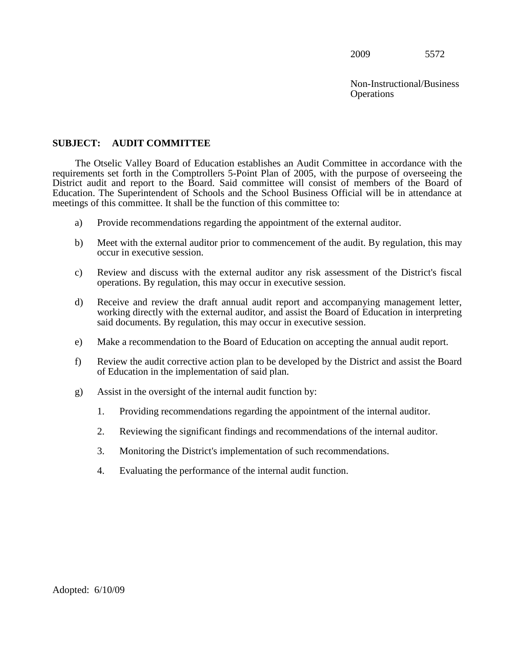**Operations** Non-Instructional/Business

#### **SUBJECT: AUDIT COMMITTEE**

 District audit and report to the Board. Said committee will consist of members of the Board of The Otselic Valley Board of Education establishes an Audit Committee in accordance with the requirements set forth in the Comptrollers 5-Point Plan of 2005, with the purpose of overseeing the Education. The Superintendent of Schools and the School Business Official will be in attendance at meetings of this committee. It shall be the function of this committee to:

- a) Provide recommendations regarding the appointment of the external auditor.
- b) Meet with the external auditor prior to commencement of the audit. By regulation, this may occur in executive session.
- c) Review and discuss with the external auditor any risk assessment of the District's fiscal operations. By regulation, this may occur in executive session.
- d) Receive and review the draft annual audit report and accompanying management letter, working directly with the external auditor, and assist the Board of Education in interpreting said documents. By regulation, this may occur in executive session.
- e) Make a recommendation to the Board of Education on accepting the annual audit report.
- f) Review the audit corrective action plan to be developed by the District and assist the Board of Education in the implementation of said plan.
- g) Assist in the oversight of the internal audit function by:
	- 1. Providing recommendations regarding the appointment of the internal auditor.
	- 2. Reviewing the significant findings and recommendations of the internal auditor.
	- 3. Monitoring the District's implementation of such recommendations.
	- 4. Evaluating the performance of the internal audit function.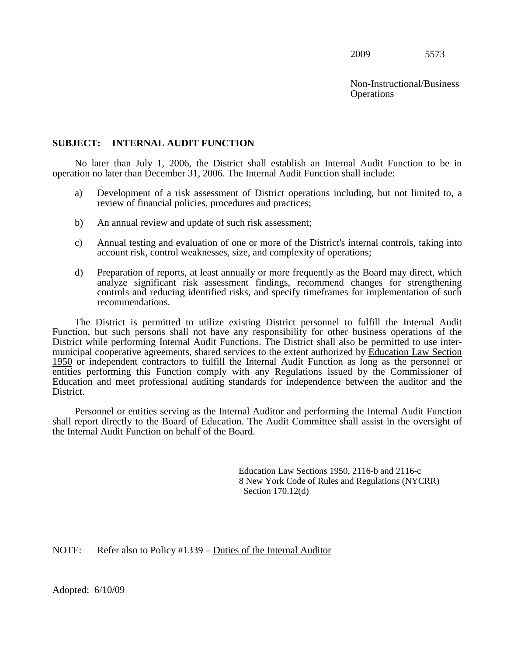**Operations** Non-Instructional/Business

#### **SUBJECT: INTERNAL AUDIT FUNCTION**

No later than July 1, 2006, the District shall establish an Internal Audit Function to be in operation no later than December 31, 2006. The Internal Audit Function shall include:

- a) Development of a risk assessment of District operations including, but not limited to, a review of financial policies, procedures and practices;
- b) An annual review and update of such risk assessment;
- c) Annual testing and evaluation of one or more of the District's internal controls, taking into account risk, control weaknesses, size, and complexity of operations;
- d) Preparation of reports, at least annually or more frequently as the Board may direct, which analyze significant risk assessment findings, recommend changes for strengthening controls and reducing identified risks, and specify timeframes for implementation of such recommendations.

 The District is permitted to utilize existing District personnel to fulfill the Internal Audit Function, but such persons shall not have any responsibility for other business operations of the District while performing Internal Audit Functions. The District shall also be permitted to use intermunicipal cooperative agreements, shared services to the extent authorized by Education Law Section 1950 or independent contractors to fulfill the Internal Audit Function as long as the personnel or entities performing this Function comply with any Regulations issued by the Commissioner of Education and meet professional auditing standards for independence between the auditor and the District.

 the Internal Audit Function on behalf of the Board. Personnel or entities serving as the Internal Auditor and performing the Internal Audit Function shall report directly to the Board of Education. The Audit Committee shall assist in the oversight of

> Education Law Sections 1950, 2116-b and 2116-c 8 New York Code of Rules and Regulations (NYCRR) Section 170.12(d)

NOTE: Refer also to Policy #1339 – Duties of the Internal Auditor

Adopted: 6/10/09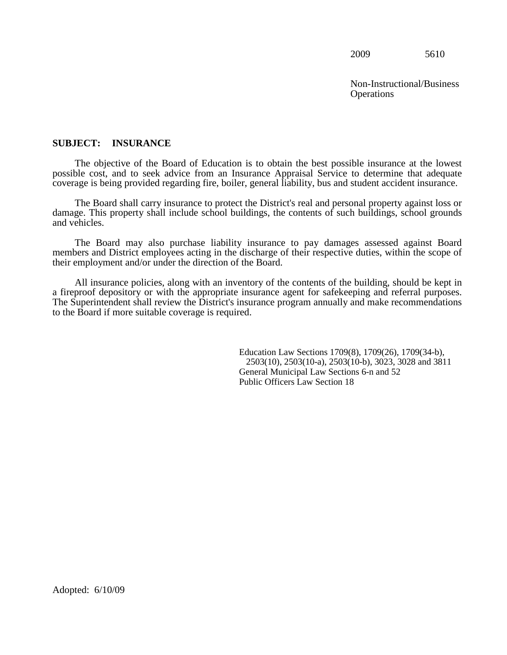Non-Instructional/Business **Operations** 

#### **SUBJECT: INSURANCE**

The objective of the Board of Education is to obtain the best possible insurance at the lowest possible cost, and to seek advice from an Insurance Appraisal Service to determine that adequate coverage is being provided regarding fire, boiler, general liability, bus and student accident insurance.

The Board shall carry insurance to protect the District's real and personal property against loss or damage. This property shall include school buildings, the contents of such buildings, school grounds and vehicles.

 their employment and/or under the direction of the Board. The Board may also purchase liability insurance to pay damages assessed against Board members and District employees acting in the discharge of their respective duties, within the scope of

All insurance policies, along with an inventory of the contents of the building, should be kept in a fireproof depository or with the appropriate insurance agent for safekeeping and referral purposes. The Superintendent shall review the District's insurance program annually and make recommendations to the Board if more suitable coverage is required.

> Education Law Sections 1709(8), 1709(26), 1709(34-b), 2503(10), 2503(10-a), 2503(10-b), 3023, 3028 and 3811 General Municipal Law Sections 6-n and 52 Public Officers Law Section 18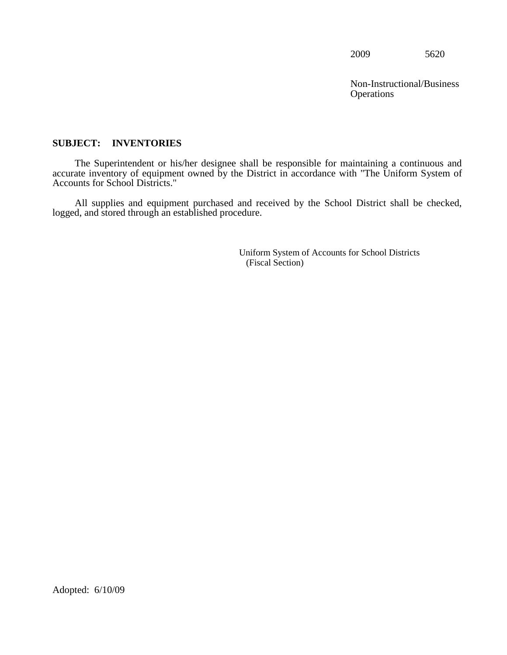**Operations** Non-Instructional/Business

#### **SUBJECT: INVENTORIES**

The Superintendent or his/her designee shall be responsible for maintaining a continuous and accurate inventory of equipment owned by the District in accordance with "The Uniform System of Accounts for School Districts."

 All supplies and equipment purchased and received by the School District shall be checked, logged, and stored through an established procedure.

> Uniform System of Accounts for School Districts (Fiscal Section)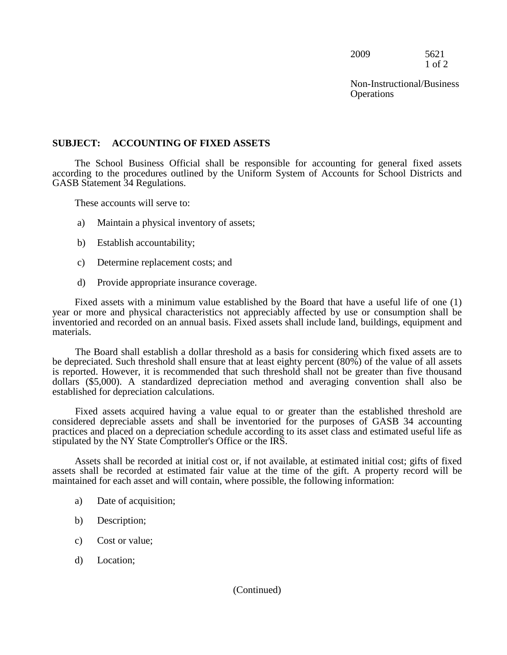2009 5621 1 of 2

Non-Instructional/Business **Operations** 

#### **SUBJECT: ACCOUNTING OF FIXED ASSETS**

 The School Business Official shall be responsible for accounting for general fixed assets according to the procedures outlined by the Uniform System of Accounts for School Districts and GASB Statement 34 Regulations.

These accounts will serve to:

- a) Maintain a physical inventory of assets;
- b) Establish accountability;
- c) Determine replacement costs; and
- d) Provide appropriate insurance coverage.

 Fixed assets with a minimum value established by the Board that have a useful life of one (1) year or more and physical characteristics not appreciably affected by use or consumption shall be inventoried and recorded on an annual basis. Fixed assets shall include land, buildings, equipment and materials.

 The Board shall establish a dollar threshold as a basis for considering which fixed assets are to be depreciated. Such threshold shall ensure that at least eighty percent (80%) of the value of all assets is reported. However, it is recommended that such threshold shall not be greater than five thousand dollars (\$5,000). A standardized depreciation method and averaging convention shall also be established for depreciation calculations.

Fixed assets acquired having a value equal to or greater than the established threshold are considered depreciable assets and shall be inventoried for the purposes of GASB 34 accounting practices and placed on a depreciation schedule according to its asset class and estimated useful life as stipulated by the NY State Comptroller's Office or the IRS.

Assets shall be recorded at initial cost or, if not available, at estimated initial cost; gifts of fixed assets shall be recorded at estimated fair value at the time of the gift. A property record will be maintained for each asset and will contain, where possible, the following information:

- a) Date of acquisition;
- b) Description;
- c) Cost or value;
- d) Location;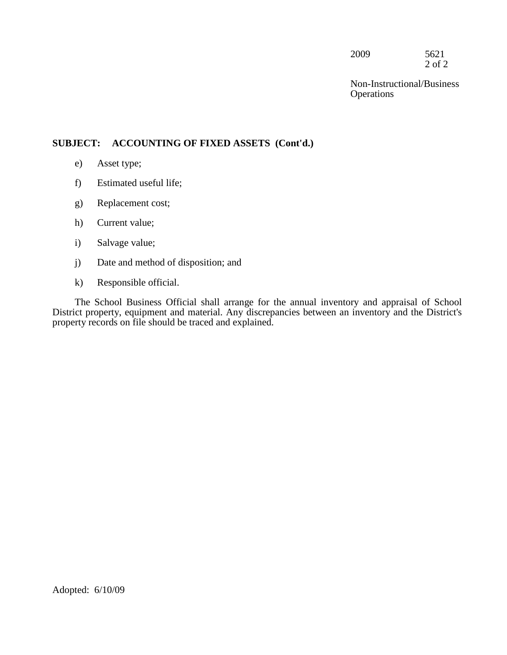2009 5621 2 of 2

Non-Instructional/Business **Operations** 

#### **SUBJECT: ACCOUNTING OF FIXED ASSETS (Cont'd.)**

- e) Asset type;
- f) Estimated useful life;
- g) Replacement cost;
- h) Current value;
- i) Salvage value;
- j) Date and method of disposition; and
- k) Responsible official.

The School Business Official shall arrange for the annual inventory and appraisal of School District property, equipment and material. Any discrepancies between an inventory and the District's property records on file should be traced and explained.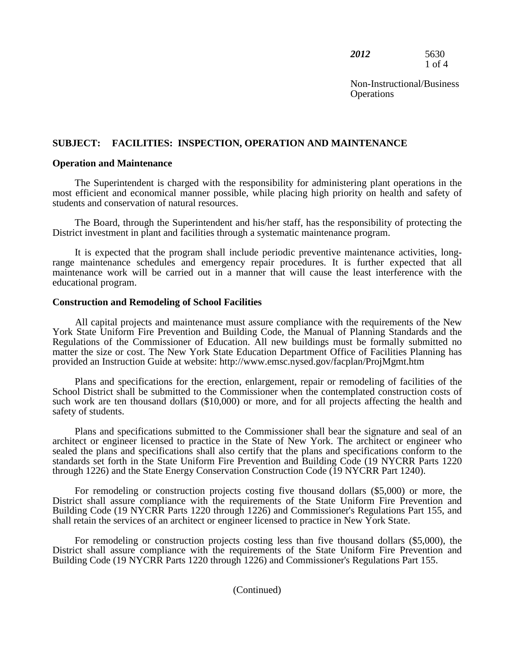*2012* 5630 1 of 4

**Operations** Non-Instructional/Business

#### **SUBJECT: FACILITIES: INSPECTION, OPERATION AND MAINTENANCE**

#### **Operation and Maintenance**

The Superintendent is charged with the responsibility for administering plant operations in the most efficient and economical manner possible, while placing high priority on health and safety of students and conservation of natural resources.

The Board, through the Superintendent and his/her staff, has the responsibility of protecting the District investment in plant and facilities through a systematic maintenance program.

 range maintenance schedules and emergency repair procedures. It is further expected that all It is expected that the program shall include periodic preventive maintenance activities, longmaintenance work will be carried out in a manner that will cause the least interference with the educational program.

#### **Construction and Remodeling of School Facilities**

 York State Uniform Fire Prevention and Building Code, the Manual of Planning Standards and the All capital projects and maintenance must assure compliance with the requirements of the New Regulations of the Commissioner of Education. All new buildings must be formally submitted no matter the size or cost. The New York State Education Department Office of Facilities Planning has provided an Instruction Guide at website: http://www.emsc.nysed.gov/facplan/ProjMgmt.htm

Plans and specifications for the erection, enlargement, repair or remodeling of facilities of the School District shall be submitted to the Commissioner when the contemplated construction costs of such work are ten thousand dollars (\$10,000) or more, and for all projects affecting the health and safety of students.

 architect or engineer licensed to practice in the State of New York. The architect or engineer who Plans and specifications submitted to the Commissioner shall bear the signature and seal of an sealed the plans and specifications shall also certify that the plans and specifications conform to the standards set forth in the State Uniform Fire Prevention and Building Code (19 NYCRR Parts 1220 through 1226) and the State Energy Conservation Construction Code (19 NYCRR Part 1240).

 District shall assure compliance with the requirements of the State Uniform Fire Prevention and shall retain the services of an architect or engineer licensed to practice in New York State. For remodeling or construction projects costing five thousand dollars (\$5,000) or more, the Building Code (19 NYCRR Parts 1220 through 1226) and Commissioner's Regulations Part 155, and

 District shall assure compliance with the requirements of the State Uniform Fire Prevention and For remodeling or construction projects costing less than five thousand dollars (\$5,000), the Building Code (19 NYCRR Parts 1220 through 1226) and Commissioner's Regulations Part 155.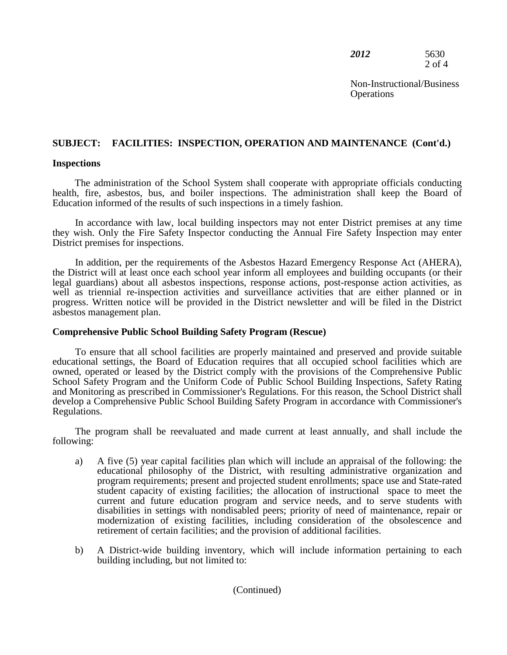| 2012 | 5630   |
|------|--------|
|      | 2 of 4 |

**Operations** Non-Instructional/Business

# **SUBJECT: FACILITIES: INSPECTION, OPERATION AND MAINTENANCE (Cont'd.) Inspections**

 Education informed of the results of such inspections in a timely fashion. The administration of the School System shall cooperate with appropriate officials conducting health, fire, asbestos, bus, and boiler inspections. The administration shall keep the Board of

 they wish. Only the Fire Safety Inspector conducting the Annual Fire Safety Inspection may enter In accordance with law, local building inspectors may not enter District premises at any time District premises for inspections.

 In addition, per the requirements of the Asbestos Hazard Emergency Response Act (AHERA), progress. Written notice will be provided in the District newsletter and will be filed in the District the District will at least once each school year inform all employees and building occupants (or their legal guardians) about all asbestos inspections, response actions, post-response action activities, as well as triennial re-inspection activities and surveillance activities that are either planned or in asbestos management plan.

#### **Comprehensive Public School Building Safety Program (Rescue)**

To ensure that all school facilities are properly maintained and preserved and provide suitable educational settings, the Board of Education requires that all occupied school facilities which are owned, operated or leased by the District comply with the provisions of the Comprehensive Public School Safety Program and the Uniform Code of Public School Building Inspections, Safety Rating and Monitoring as prescribed in Commissioner's Regulations. For this reason, the School District shall develop a Comprehensive Public School Building Safety Program in accordance with Commissioner's Regulations.

The program shall be reevaluated and made current at least annually, and shall include the following:

- current and future education program and service needs, and to serve students with retirement of certain facilities; and the provision of additional facilities. a) A five (5) year capital facilities plan which will include an appraisal of the following: the educational philosophy of the District, with resulting administrative organization and program requirements; present and projected student enrollments; space use and State-rated student capacity of existing facilities; the allocation of instructional space to meet the disabilities in settings with nondisabled peers; priority of need of maintenance, repair or modernization of existing facilities, including consideration of the obsolescence and
- b) A District-wide building inventory, which will include information pertaining to each building including, but not limited to: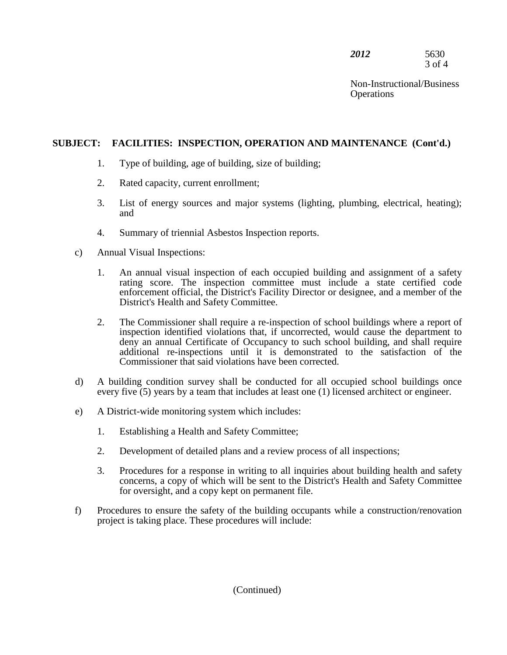| 2012 | 5630   |
|------|--------|
|      | 3 of 4 |

**Operations** Non-Instructional/Business

### **SUBJECT: FACILITIES: INSPECTION, OPERATION AND MAINTENANCE (Cont'd.)**

- 1. Type of building, age of building, size of building;
- 2. Rated capacity, current enrollment;
- 3. List of energy sources and major systems (lighting, plumbing, electrical, heating); and
- 4. Summary of triennial Asbestos Inspection reports.
- c) Annual Visual Inspections:
	- enforcement official, the District's Facility Director or designee, and a member of the 1. An annual visual inspection of each occupied building and assignment of a safety rating score. The inspection committee must include a state certified code District's Health and Safety Committee.
	- 2. The Commissioner shall require a re-inspection of school buildings where a report of inspection identified violations that, if uncorrected, would cause the department to deny an annual Certificate of Occupancy to such school building, and shall require additional re-inspections until it is demonstrated to the satisfaction of the Commissioner that said violations have been corrected.
- d) A building condition survey shall be conducted for all occupied school buildings once every five (5) years by a team that includes at least one (1) licensed architect or engineer.
- e) A District-wide monitoring system which includes:
	- 1. Establishing a Health and Safety Committee;
	- 2. Development of detailed plans and a review process of all inspections;
	- 3. Procedures for a response in writing to all inquiries about building health and safety concerns, a copy of which will be sent to the District's Health and Safety Committee for oversight, and a copy kept on permanent file.
- f) Procedures to ensure the safety of the building occupants while a construction/renovation project is taking place. These procedures will include: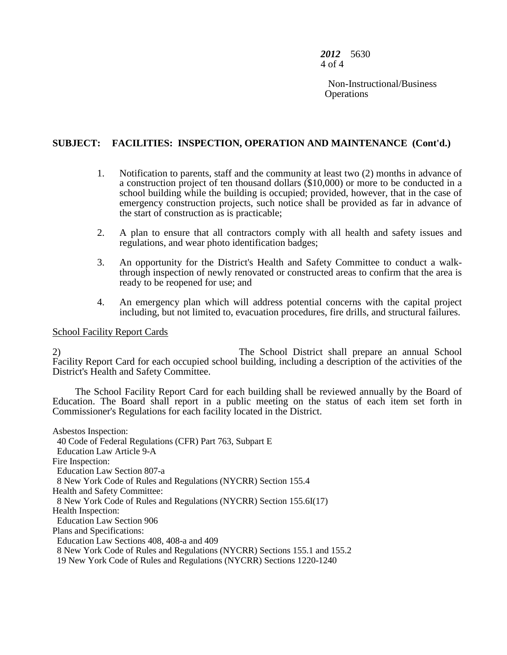*2012* 5630 4 of 4

> **Operations** Non-Instructional/Business

#### **SUBJECT: FACILITIES: INSPECTION, OPERATION AND MAINTENANCE (Cont'd.)**

- 1. Notification to parents, staff and the community at least two (2) months in advance of a construction project of ten thousand dollars (\$10,000) or more to be conducted in a school building while the building is occupied; provided, however, that in the case of emergency construction projects, such notice shall be provided as far in advance of the start of construction as is practicable;
- 2. A plan to ensure that all contractors comply with all health and safety issues and regulations, and wear photo identification badges;
- 3. An opportunity for the District's Health and Safety Committee to conduct a walkthrough inspection of newly renovated or constructed areas to confirm that the area is ready to be reopened for use; and
- 4. An emergency plan which will address potential concerns with the capital project including, but not limited to, evacuation procedures, fire drills, and structural failures.

#### School Facility Report Cards

 2) The School District shall prepare an annual School Facility Report Card for each occupied school building, including a description of the activities of the District's Health and Safety Committee.

The School Facility Report Card for each building shall be reviewed annually by the Board of Education. The Board shall report in a public meeting on the status of each item set forth in Commissioner's Regulations for each facility located in the District.

Asbestos Inspection: 40 Code of Federal Regulations (CFR) Part 763, Subpart E Education Law Article 9-A Fire Inspection: Education Law Section 807-a 8 New York Code of Rules and Regulations (NYCRR) Section 155.4 Health and Safety Committee: 8 New York Code of Rules and Regulations (NYCRR) Section 155.6I(17) Health Inspection: Education Law Section 906 Plans and Specifications: Education Law Sections 408, 408-a and 409 8 New York Code of Rules and Regulations (NYCRR) Sections 155.1 and 155.2 19 New York Code of Rules and Regulations (NYCRR) Sections 1220-1240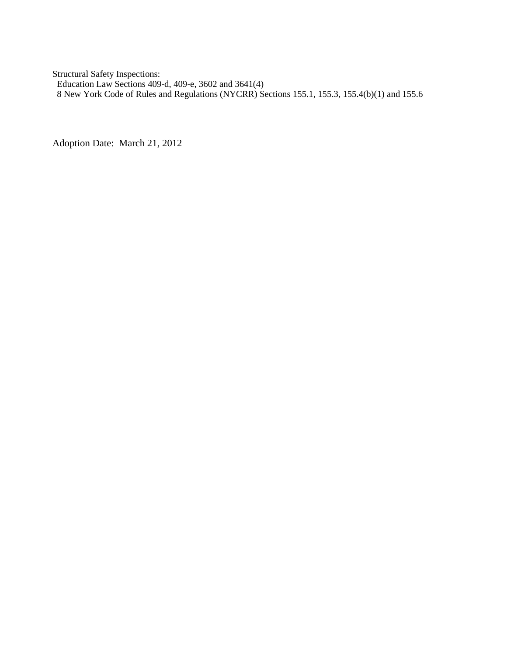Structural Safety Inspections:

Education Law Sections 409-d, 409-e, 3602 and 3641(4)

8 New York Code of Rules and Regulations (NYCRR) Sections 155.1, 155.3, 155.4(b)(1) and 155.6

Adoption Date: March 21, 2012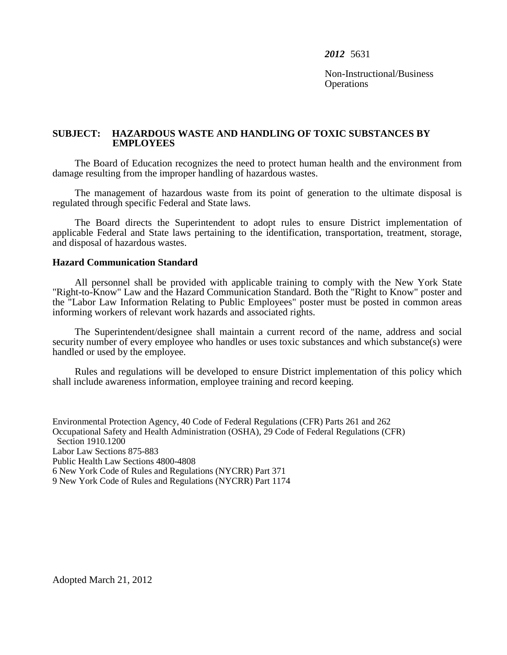Non-Instructional/Business **Operations** 

#### **SUBJECT: HAZARDOUS WASTE AND HANDLING OF TOXIC SUBSTANCES BY EMPLOYEES**

The Board of Education recognizes the need to protect human health and the environment from damage resulting from the improper handling of hazardous wastes.

The management of hazardous waste from its point of generation to the ultimate disposal is regulated through specific Federal and State laws.

 applicable Federal and State laws pertaining to the identification, transportation, treatment, storage, The Board directs the Superintendent to adopt rules to ensure District implementation of and disposal of hazardous wastes.

#### **Hazard Communication Standard**

 "Right-to-Know" Law and the Hazard Communication Standard. Both the "Right to Know" poster and the "Labor Law Information Relating to Public Employees" poster must be posted in common areas All personnel shall be provided with applicable training to comply with the New York State informing workers of relevant work hazards and associated rights.

 handled or used by the employee. The Superintendent/designee shall maintain a current record of the name, address and social security number of every employee who handles or uses toxic substances and which substance(s) were

 Rules and regulations will be developed to ensure District implementation of this policy which shall include awareness information, employee training and record keeping.

 6 New York Code of Rules and Regulations (NYCRR) Part 371 9 New York Code of Rules and Regulations (NYCRR) Part 1174 Environmental Protection Agency, 40 Code of Federal Regulations (CFR) Parts 261 and 262 Occupational Safety and Health Administration (OSHA), 29 Code of Federal Regulations (CFR) Section 1910.1200 Labor Law Sections 875-883 Public Health Law Sections 4800-4808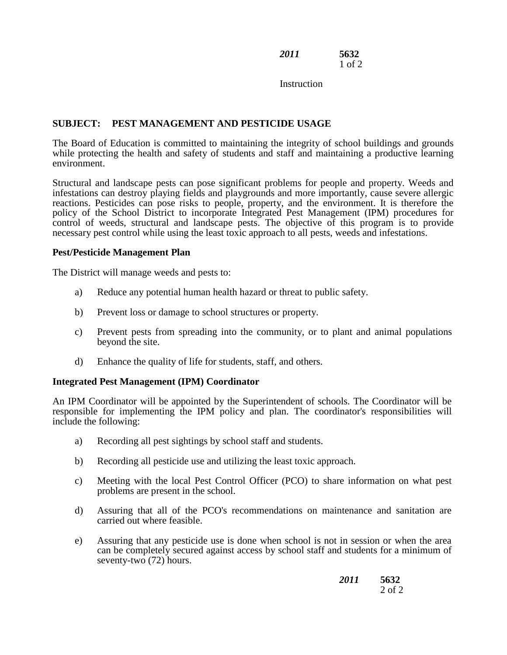*2011* **5632**  1 of 2

**Instruction** 

#### **SUBJECT: PEST MANAGEMENT AND PESTICIDE USAGE**

The Board of Education is committed to maintaining the integrity of school buildings and grounds while protecting the health and safety of students and staff and maintaining a productive learning environment.

 infestations can destroy playing fields and playgrounds and more importantly, cause severe allergic policy of the School District to incorporate Integrated Pest Management (IPM) procedures for Structural and landscape pests can pose significant problems for people and property. Weeds and reactions. Pesticides can pose risks to people, property, and the environment. It is therefore the control of weeds, structural and landscape pests. The objective of this program is to provide necessary pest control while using the least toxic approach to all pests, weeds and infestations.

#### **Pest/Pesticide Management Plan**

The District will manage weeds and pests to:

- a) Reduce any potential human health hazard or threat to public safety.
- b) Prevent loss or damage to school structures or property.
- c) Prevent pests from spreading into the community, or to plant and animal populations beyond the site.
- d) Enhance the quality of life for students, staff, and others.

#### **Integrated Pest Management (IPM) Coordinator**

 responsible for implementing the IPM policy and plan. The coordinator's responsibilities will include the following: An IPM Coordinator will be appointed by the Superintendent of schools. The Coordinator will be

- a) Recording all pest sightings by school staff and students.
- b) Recording all pesticide use and utilizing the least toxic approach.
- c) Meeting with the local Pest Control Officer (PCO) to share information on what pest problems are present in the school.
- d) Assuring that all of the PCO's recommendations on maintenance and sanitation are carried out where feasible.
- e) Assuring that any pesticide use is done when school is not in session or when the area can be completely secured against access by school staff and students for a minimum of seventy-two (72) hours.

| 2011 | 5632       |
|------|------------|
|      | $2$ of $2$ |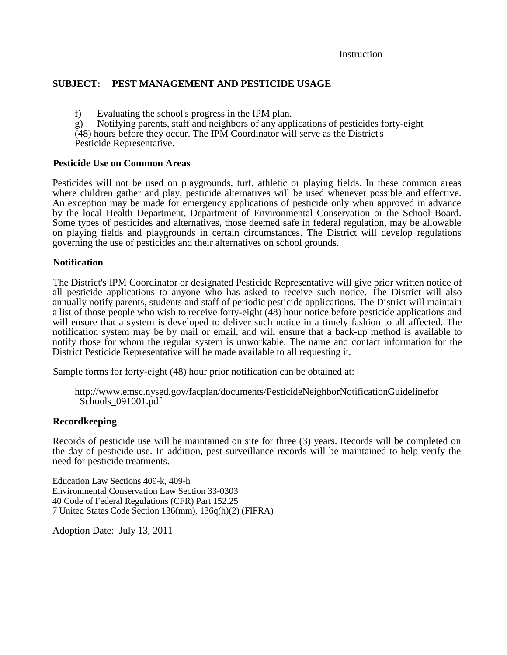Instruction

#### **SUBJECT: PEST MANAGEMENT AND PESTICIDE USAGE**

- 
- f) Evaluating the school's progress in the IPM plan. g) Notifying parents, staff and neighbors of any applications of pesticides forty-eight

 (48) hours before they occur. The IPM Coordinator will serve as the District's Pesticide Representative.

#### **Pesticide Use on Common Areas**

Pesticides will not be used on playgrounds, turf, athletic or playing fields. In these common areas where children gather and play, pesticide alternatives will be used whenever possible and effective. An exception may be made for emergency applications of pesticide only when approved in advance by the local Health Department, Department of Environmental Conservation or the School Board. Some types of pesticides and alternatives, those deemed safe in federal regulation, may be allowable on playing fields and playgrounds in certain circumstances. The District will develop regulations governing the use of pesticides and their alternatives on school grounds.

#### **Notification**

 The District's IPM Coordinator or designated Pesticide Representative will give prior written notice of annually notify parents, students and staff of periodic pesticide applications. The District will maintain notify those for whom the regular system is unworkable. The name and contact information for the all pesticide applications to anyone who has asked to receive such notice. The District will also a list of those people who wish to receive forty-eight (48) hour notice before pesticide applications and will ensure that a system is developed to deliver such notice in a timely fashion to all affected. The notification system may be by mail or email, and will ensure that a back-up method is available to District Pesticide Representative will be made available to all requesting it.

Sample forms for forty-eight (48) hour prior notification can be obtained at:

#### **Recordkeeping**

 Records of pesticide use will be maintained on site for three (3) years. Records will be completed on the day of pesticide use. In addition, pest surveillance records will be maintained to help verify the need for pesticide treatments.

 40 Code of Federal Regulations (CFR) Part 152.25 7 United States Code Section 136(mm), 136q(h)(2) (FIFRA) Education Law Sections 409-k, 409-h Environmental Conservation Law Section 33-0303

Adoption Date: July 13, 2011

http://www.emsc.nysed.gov/facplan/documents/PesticideNeighborNotificationGuidelinefor Schools 091001.pdf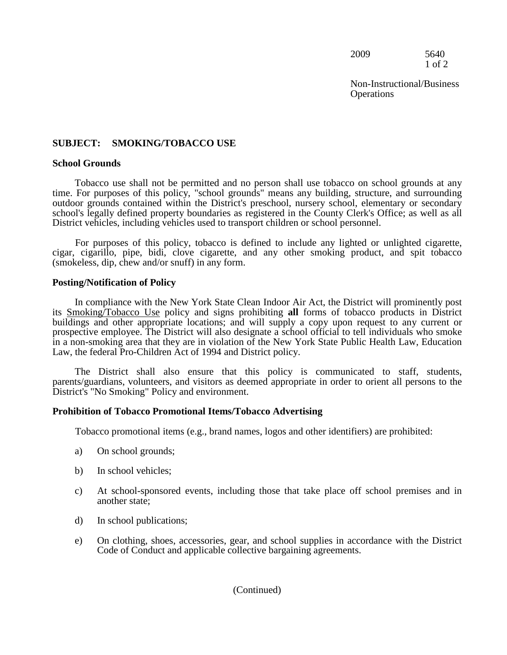2009 5640 1 of 2

Non-Instructional/Business **Operations** 

#### **SUBJECT: SMOKING/TOBACCO USE**

#### **School Grounds**

Tobacco use shall not be permitted and no person shall use tobacco on school grounds at any time. For purposes of this policy, "school grounds" means any building, structure, and surrounding outdoor grounds contained within the District's preschool, nursery school, elementary or secondary school's legally defined property boundaries as registered in the County Clerk's Office; as well as all District vehicles, including vehicles used to transport children or school personnel.

For purposes of this policy, tobacco is defined to include any lighted or unlighted cigarette, cigar, cigarillo, pipe, bidi, clove cigarette, and any other smoking product, and spit tobacco (smokeless, dip, chew and/or snuff) in any form.

#### **Posting/Notification of Policy**

 buildings and other appropriate locations; and will supply a copy upon request to any current or In compliance with the New York State Clean Indoor Air Act, the District will prominently post its Smoking/Tobacco Use policy and signs prohibiting **all** forms of tobacco products in District prospective employee. The District will also designate a school official to tell individuals who smoke in a non-smoking area that they are in violation of the New York State Public Health Law, Education Law, the federal Pro-Children Act of 1994 and District policy.

The District shall also ensure that this policy is communicated to staff, students, parents/guardians, volunteers, and visitors as deemed appropriate in order to orient all persons to the District's "No Smoking" Policy and environment.

#### **Prohibition of Tobacco Promotional Items/Tobacco Advertising**

Tobacco promotional items (e.g., brand names, logos and other identifiers) are prohibited:

- a) On school grounds;
- b) In school vehicles;
- c) At school-sponsored events, including those that take place off school premises and in another state;
- d) In school publications;
- e) On clothing, shoes, accessories, gear, and school supplies in accordance with the District Code of Conduct and applicable collective bargaining agreements.

#### (Continued)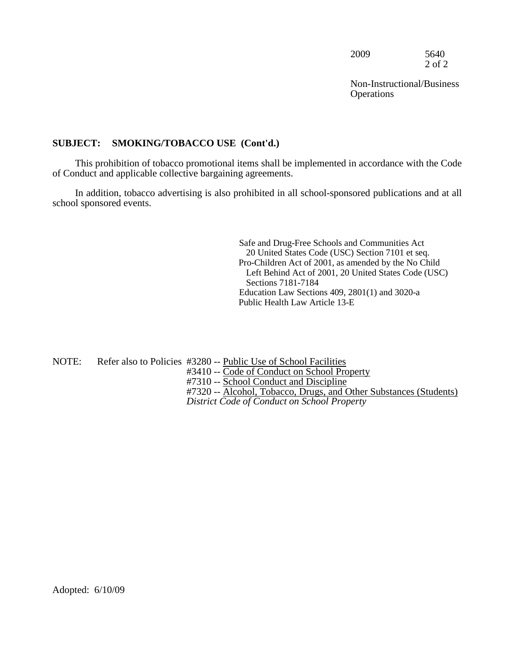2009 5640 2 of 2

Non-Instructional/Business **Operations** 

#### **SUBJECT: SMOKING/TOBACCO USE (Cont'd.)**

This prohibition of tobacco promotional items shall be implemented in accordance with the Code of Conduct and applicable collective bargaining agreements.

In addition, tobacco advertising is also prohibited in all school-sponsored publications and at all school sponsored events.

> Left Behind Act of 2001, 20 United States Code (USC) Safe and Drug-Free Schools and Communities Act 20 United States Code (USC) Section 7101 et seq. Pro-Children Act of 2001, as amended by the No Child Sections 7181-7184 Education Law Sections 409, 2801(1) and 3020-a Public Health Law Article 13-E

NOTE: Refer also to Policies #3280 -- Public Use of School Facilities #3410 -- Code of Conduct on School Property #7310 -- School Conduct and Discipline #7320 -- Alcohol, Tobacco, Drugs, and Other Substances (Students) *District Code of Conduct on School Property*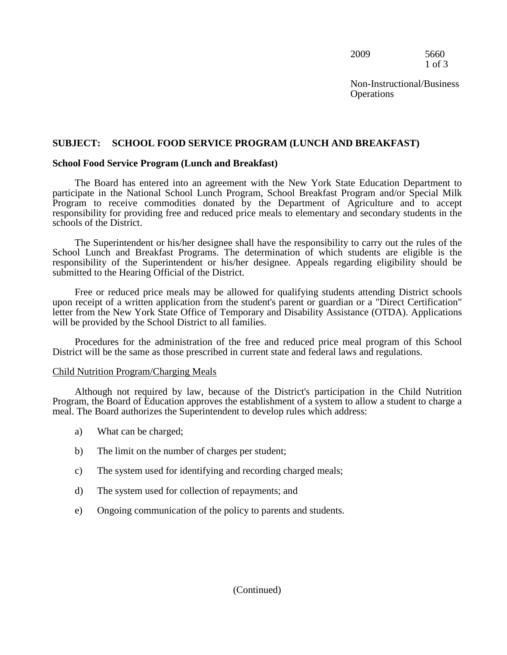2009 5660 1 of 3

**Operations** Non-Instructional/Business

#### **SUBJECT: SCHOOL FOOD SERVICE PROGRAM (LUNCH AND BREAKFAST)**

#### **School Food Service Program (Lunch and Breakfast)**

The Board has entered into an agreement with the New York State Education Department to participate in the National School Lunch Program, School Breakfast Program and/or Special Milk Program to receive commodities donated by the Department of Agriculture and to accept responsibility for providing free and reduced price meals to elementary and secondary students in the schools of the District.

 responsibility of the Superintendent or his/her designee. Appeals regarding eligibility should be The Superintendent or his/her designee shall have the responsibility to carry out the rules of the School Lunch and Breakfast Programs. The determination of which students are eligible is the submitted to the Hearing Official of the District.

Free or reduced price meals may be allowed for qualifying students attending District schools upon receipt of a written application from the student's parent or guardian or a "Direct Certification" letter from the New York State Office of Temporary and Disability Assistance (OTDA). Applications will be provided by the School District to all families.

Procedures for the administration of the free and reduced price meal program of this School District will be the same as those prescribed in current state and federal laws and regulations.

#### Child Nutrition Program/Charging Meals

Although not required by law, because of the District's participation in the Child Nutrition Program, the Board of Education approves the establishment of a system to allow a student to charge a meal. The Board authorizes the Superintendent to develop rules which address:

- a) What can be charged;
- b) The limit on the number of charges per student;
- c) The system used for identifying and recording charged meals;
- d) The system used for collection of repayments; and
- e) Ongoing communication of the policy to parents and students.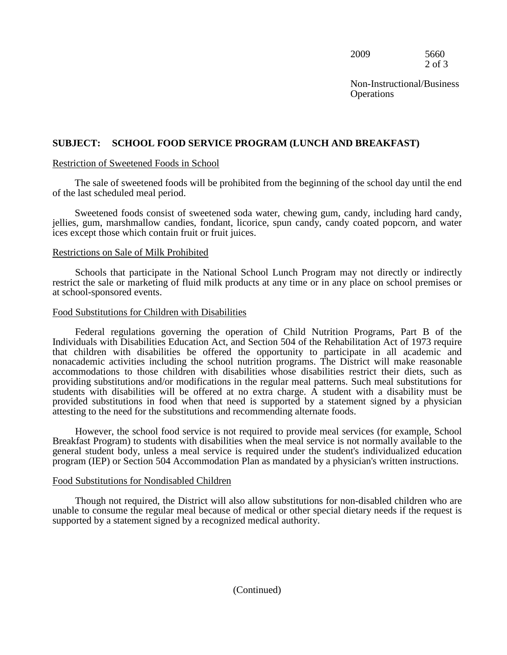2009 5660 2 of 3

**Operations** Non-Instructional/Business

#### **SUBJECT: SCHOOL FOOD SERVICE PROGRAM (LUNCH AND BREAKFAST)**

#### Restriction of Sweetened Foods in School

The sale of sweetened foods will be prohibited from the beginning of the school day until the end of the last scheduled meal period.

Sweetened foods consist of sweetened soda water, chewing gum, candy, including hard candy, jellies, gum, marshmallow candies, fondant, licorice, spun candy, candy coated popcorn, and water ices except those which contain fruit or fruit juices.

#### Restrictions on Sale of Milk Prohibited

Schools that participate in the National School Lunch Program may not directly or indirectly restrict the sale or marketing of fluid milk products at any time or in any place on school premises or at school-sponsored events.

#### Food Substitutions for Children with Disabilities

 that children with disabilities be offered the opportunity to participate in all academic and provided substitutions in food when that need is supported by a statement signed by a physician Federal regulations governing the operation of Child Nutrition Programs, Part B of the Individuals with Disabilities Education Act, and Section 504 of the Rehabilitation Act of 1973 require nonacademic activities including the school nutrition programs. The District will make reasonable accommodations to those children with disabilities whose disabilities restrict their diets, such as providing substitutions and/or modifications in the regular meal patterns. Such meal substitutions for students with disabilities will be offered at no extra charge. A student with a disability must be attesting to the need for the substitutions and recommending alternate foods.

However, the school food service is not required to provide meal services (for example, School Breakfast Program) to students with disabilities when the meal service is not normally available to the general student body, unless a meal service is required under the student's individualized education program (IEP) or Section 504 Accommodation Plan as mandated by a physician's written instructions.

#### Food Substitutions for Nondisabled Children

 supported by a statement signed by a recognized medical authority. Though not required, the District will also allow substitutions for non-disabled children who are unable to consume the regular meal because of medical or other special dietary needs if the request is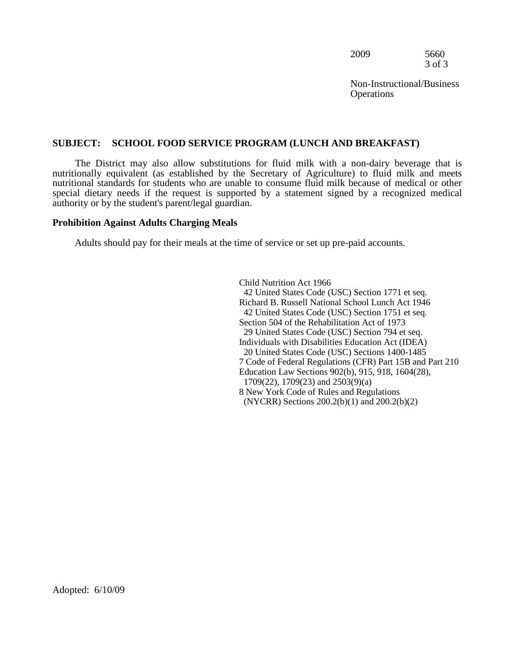| 2009 | 5660   |
|------|--------|
|      | 3 of 3 |

#### **SUBJECT: SCHOOL FOOD SERVICE PROGRAM (LUNCH AND BREAKFAST)**

 The District may also allow substitutions for fluid milk with a non-dairy beverage that is nutritionally equivalent (as established by the Secretary of Agriculture) to fluid milk and meets nutritional standards for students who are unable to consume fluid milk because of medical or other special dietary needs if the request is supported by a statement signed by a recognized medical authority or by the student's parent/legal guardian.

#### **Prohibition Against Adults Charging Meals**

Adults should pay for their meals at the time of service or set up pre-paid accounts.

Child Nutrition Act 1966 42 United States Code (USC) Section 1771 et seq. Richard B. Russell National School Lunch Act 1946 42 United States Code (USC) Section 1751 et seq. Section 504 of the Rehabilitation Act of 1973 29 United States Code (USC) Section 794 et seq. Individuals with Disabilities Education Act (IDEA) 20 United States Code (USC) Sections 1400-1485 7 Code of Federal Regulations (CFR) Part 15B and Part 210 Education Law Sections 902(b), 915, 918, 1604(28), 1709(22), 1709(23) and 2503(9)(a) 8 New York Code of Rules and Regulations (NYCRR) Sections 200.2(b)(1) and 200.2(b)(2)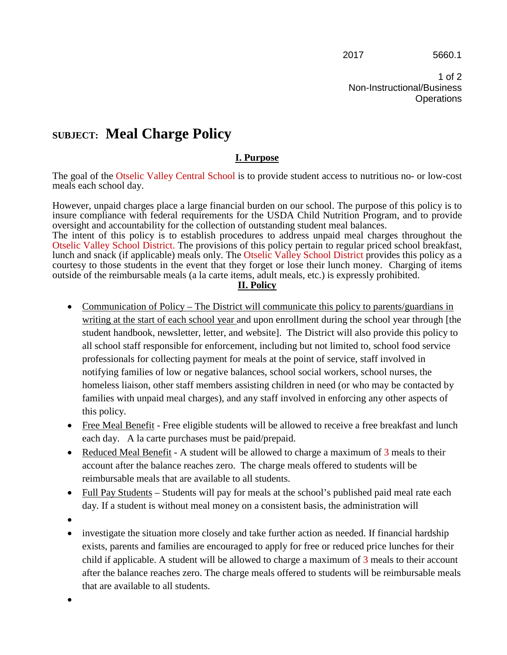1 of 2 Non-Instructional/Business **Operations** 

## **SUBJECT: Meal Charge Policy**

### **I. Purpose**

The goal of the Otselic Valley Central School is to provide student access to nutritious no- or low-cost meals each school day.

 insure compliance with federal requirements for the USDA Child Nutrition Program, and to provide However, unpaid charges place a large financial burden on our school. The purpose of this policy is to oversight and accountability for the collection of outstanding student meal balances.

The intent of this policy is to establish procedures to address unpaid meal charges throughout the Otselic Valley School District. The provisions of this policy pertain to regular priced school breakfast, lunch and snack (if applicable) meals only. The Otselic Valley School District provides this policy as a courtesy to those students in the event that they forget or lose their lunch money. Charging of items outside of the reimbursable meals (a la carte items, adult meals, etc.) is expressly prohibited.

#### **II. Policy**

- Communication of Policy The District will communicate this policy to parents/guardians in homeless liaison, other staff members assisting children in need (or who may be contacted by writing at the start of each school year and upon enrollment during the school year through [the student handbook, newsletter, letter, and website]. The District will also provide this policy to all school staff responsible for enforcement, including but not limited to, school food service professionals for collecting payment for meals at the point of service, staff involved in notifying families of low or negative balances, school social workers, school nurses, the families with unpaid meal charges), and any staff involved in enforcing any other aspects of this policy.
- Free Meal Benefit Free eligible students will be allowed to receive a free breakfast and lunch each day. A la carte purchases must be paid/prepaid.
- Reduced Meal Benefit A student will be allowed to charge a maximum of 3 meals to their account after the balance reaches zero. The charge meals offered to students will be reimbursable meals that are available to all students.
- Full Pay Students Students will pay for meals at the school's published paid meal rate each day. If a student is without meal money on a consistent basis, the administration will
- •
- exists, parents and families are encouraged to apply for free or reduced price lunches for their • investigate the situation more closely and take further action as needed. If financial hardship child if applicable. A student will be allowed to charge a maximum of 3 meals to their account after the balance reaches zero. The charge meals offered to students will be reimbursable meals that are available to all students.

•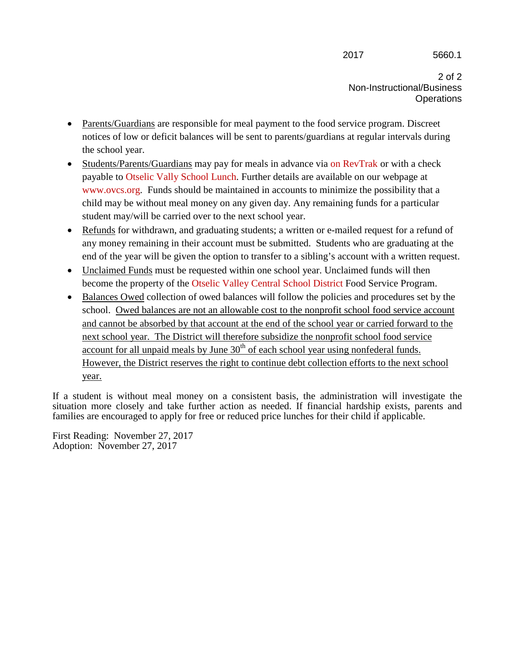#### 2017 5660.1

2 of 2 Non-Instructional/Business **Operations** 

- Parents/Guardians are responsible for meal payment to the food service program. Discreet the school year. notices of low or deficit balances will be sent to parents/guardians at regular intervals during
- payable to Otselic Vally School Lunch. Further details are available on our webpage at • Students/Parents/Guardians may pay for meals in advance via on RevTrak or with a check www.ovcs.org. Funds should be maintained in accounts to minimize the possibility that a child may be without meal money on any given day. Any remaining funds for a particular student may/will be carried over to the next school year.
- end of the year will be given the option to transfer to a sibling's account with a written request. • Refunds for withdrawn, and graduating students; a written or e-mailed request for a refund of any money remaining in their account must be submitted. Students who are graduating at the
- Unclaimed Funds must be requested within one school year. Unclaimed funds will then become the property of the Otselic Valley Central School District Food Service Program.
- and cannot be absorbed by that account at the end of the school year or carried forward to the • Balances Owed collection of owed balances will follow the policies and procedures set by the school. Owed balances are not an allowable cost to the nonprofit school food service account next school year. The District will therefore subsidize the nonprofit school food service account for all unpaid meals by June  $30<sup>th</sup>$  of each school year using nonfederal funds. However, the District reserves the right to continue debt collection efforts to the next school year.

 families are encouraged to apply for free or reduced price lunches for their child if applicable. If a student is without meal money on a consistent basis, the administration will investigate the situation more closely and take further action as needed. If financial hardship exists, parents and

First Reading: November 27, 2017 Adoption: November 27, 2017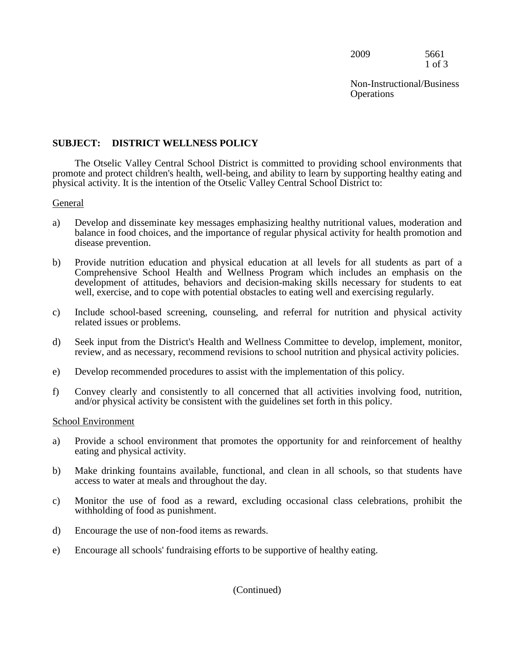2009 5661 1 of 3

Non-Instructional/Business **Operations** 

#### **SUBJECT: DISTRICT WELLNESS POLICY**

The Otselic Valley Central School District is committed to providing school environments that promote and protect children's health, well-being, and ability to learn by supporting healthy eating and physical activity. It is the intention of the Otselic Valley Central School District to:

#### General

- balance in food choices, and the importance of regular physical activity for health promotion and a) Develop and disseminate key messages emphasizing healthy nutritional values, moderation and disease prevention.
- b) Provide nutrition education and physical education at all levels for all students as part of a Comprehensive School Health and Wellness Program which includes an emphasis on the development of attitudes, behaviors and decision-making skills necessary for students to eat well, exercise, and to cope with potential obstacles to eating well and exercising regularly.
- c) Include school-based screening, counseling, and referral for nutrition and physical activity related issues or problems.
- d) Seek input from the District's Health and Wellness Committee to develop, implement, monitor, review, and as necessary, recommend revisions to school nutrition and physical activity policies.
- e) Develop recommended procedures to assist with the implementation of this policy.
- f) Convey clearly and consistently to all concerned that all activities involving food, nutrition, and/or physical activity be consistent with the guidelines set forth in this policy.

#### School Environment

- a) Provide a school environment that promotes the opportunity for and reinforcement of healthy eating and physical activity.
- access to water at meals and throughout the day. b) Make drinking fountains available, functional, and clean in all schools, so that students have
- c) Monitor the use of food as a reward, excluding occasional class celebrations, prohibit the withholding of food as punishment.
- d) Encourage the use of non-food items as rewards.
- e) Encourage all schools' fundraising efforts to be supportive of healthy eating.

(Continued)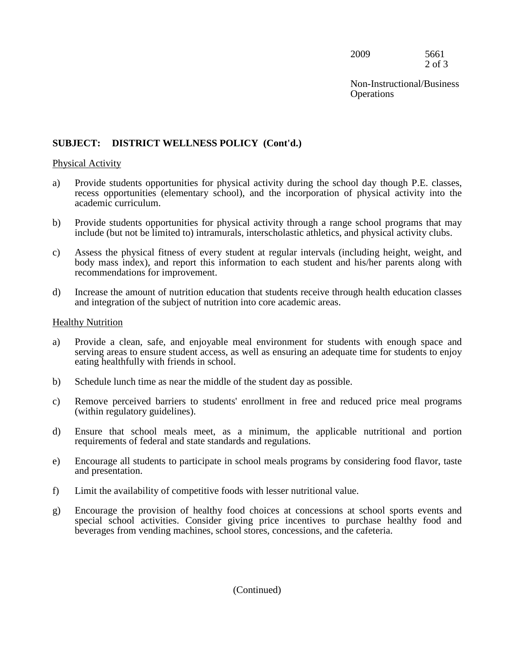2009 5661 2 of 3

Non-Instructional/Business **Operations** 

#### **SUBJECT: DISTRICT WELLNESS POLICY (Cont'd.)**

#### Physical Activity

- a) Provide students opportunities for physical activity during the school day though P.E. classes, recess opportunities (elementary school), and the incorporation of physical activity into the academic curriculum.
- b) Provide students opportunities for physical activity through a range school programs that may include (but not be limited to) intramurals, interscholastic athletics, and physical activity clubs.
- c) Assess the physical fitness of every student at regular intervals (including height, weight, and body mass index), and report this information to each student and his/her parents along with recommendations for improvement.
- d) Increase the amount of nutrition education that students receive through health education classes and integration of the subject of nutrition into core academic areas.

#### Healthy Nutrition

- serving areas to ensure student access, as well as ensuring an adequate time for students to enjoy a) Provide a clean, safe, and enjoyable meal environment for students with enough space and eating healthfully with friends in school.
- b) Schedule lunch time as near the middle of the student day as possible.
- (within regulatory guidelines). c) Remove perceived barriers to students' enrollment in free and reduced price meal programs
- d) Ensure that school meals meet, as a minimum, the applicable nutritional and portion requirements of federal and state standards and regulations.
- e) Encourage all students to participate in school meals programs by considering food flavor, taste and presentation.
- f) Limit the availability of competitive foods with lesser nutritional value.
- special school activities. Consider giving price incentives to purchase healthy food and beverages from vending machines, school stores, concessions, and the cafeteria. g) Encourage the provision of healthy food choices at concessions at school sports events and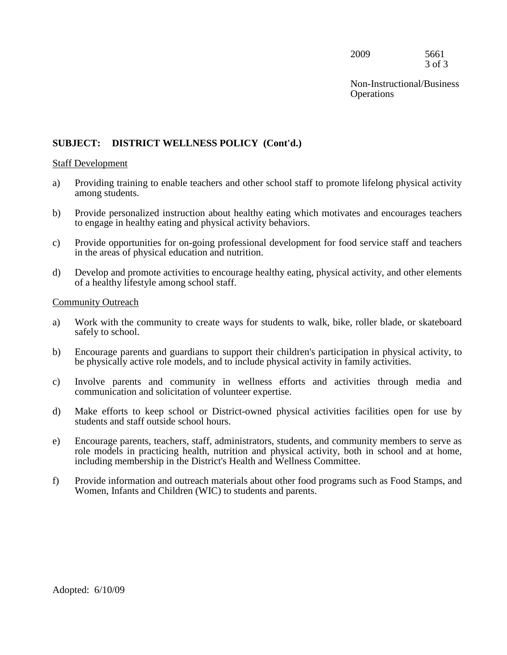2009 5661 3 of 3

Non-Instructional/Business **Operations** 

#### **SUBJECT: DISTRICT WELLNESS POLICY (Cont'd.)**

#### Staff Development

- a) Providing training to enable teachers and other school staff to promote lifelong physical activity among students.
- to engage in healthy eating and physical activity behaviors. b) Provide personalized instruction about healthy eating which motivates and encourages teachers
- c) Provide opportunities for on-going professional development for food service staff and teachers in the areas of physical education and nutrition.
- d) Develop and promote activities to encourage healthy eating, physical activity, and other elements of a healthy lifestyle among school staff.

#### Community Outreach

- a) Work with the community to create ways for students to walk, bike, roller blade, or skateboard safely to school.
- be physically active role models, and to include physical activity in family activities. b) Encourage parents and guardians to support their children's participation in physical activity, to
- $\mathbf{c}$ ) Involve parents and community in wellness efforts and activities through media and communication and solicitation of volunteer expertise.
- d) Make efforts to keep school or District-owned physical activities facilities open for use by students and staff outside school hours.
- e) Encourage parents, teachers, staff, administrators, students, and community members to serve as role models in practicing health, nutrition and physical activity, both in school and at home, including membership in the District's Health and Wellness Committee.
- f) Provide information and outreach materials about other food programs such as Food Stamps, and Women, Infants and Children (WIC) to students and parents.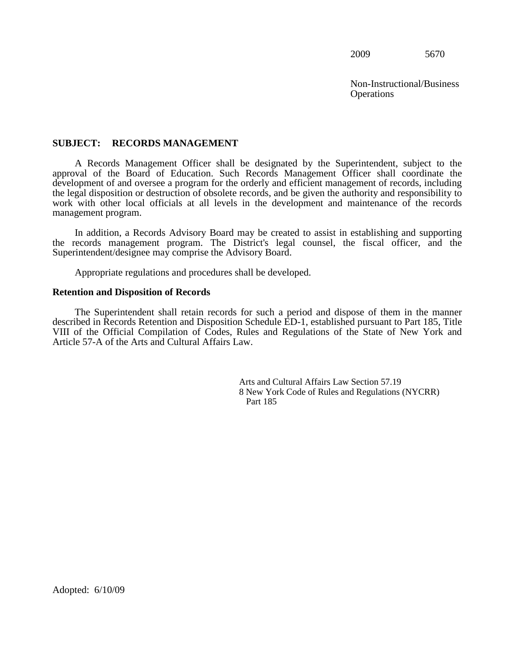Non-Instructional/Business **Operations** 

#### **SUBJECT: RECORDS MANAGEMENT**

 the legal disposition or destruction of obsolete records, and be given the authority and responsibility to A Records Management Officer shall be designated by the Superintendent, subject to the approval of the Board of Education. Such Records Management Officer shall coordinate the development of and oversee a program for the orderly and efficient management of records, including work with other local officials at all levels in the development and maintenance of the records management program.

 In addition, a Records Advisory Board may be created to assist in establishing and supporting Superintendent/designee may comprise the Advisory Board. the records management program. The District's legal counsel, the fiscal officer, and the

Appropriate regulations and procedures shall be developed.

#### **Retention and Disposition of Records**

The Superintendent shall retain records for such a period and dispose of them in the manner described in Records Retention and Disposition Schedule ED-1, established pursuant to Part 185, Title VIII of the Official Compilation of Codes, Rules and Regulations of the State of New York and Article 57-A of the Arts and Cultural Affairs Law.

> Arts and Cultural Affairs Law Section 57.19 8 New York Code of Rules and Regulations (NYCRR) Part 185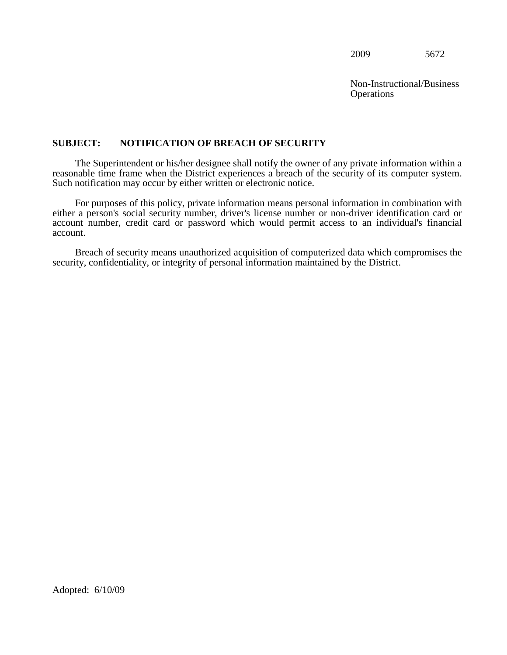Non-Instructional/Business **Operations** 

#### **SUBJECT: NOTIFICATION OF BREACH OF SECURITY**

The Superintendent or his/her designee shall notify the owner of any private information within a reasonable time frame when the District experiences a breach of the security of its computer system. Such notification may occur by either written or electronic notice.

For purposes of this policy, private information means personal information in combination with either a person's social security number, driver's license number or non-driver identification card or account number, credit card or password which would permit access to an individual's financial account.

Breach of security means unauthorized acquisition of computerized data which compromises the security, confidentiality, or integrity of personal information maintained by the District.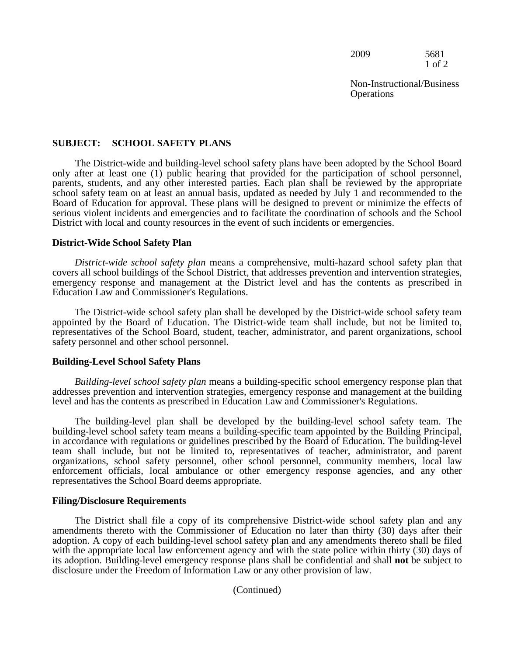2009 5681 1 of 2

#### **SUBJECT: SCHOOL SAFETY PLANS**

The District-wide and building-level school safety plans have been adopted by the School Board only after at least one (1) public hearing that provided for the participation of school personnel, parents, students, and any other interested parties. Each plan shall be reviewed by the appropriate school safety team on at least an annual basis, updated as needed by July 1 and recommended to the Board of Education for approval. These plans will be designed to prevent or minimize the effects of serious violent incidents and emergencies and to facilitate the coordination of schools and the School District with local and county resources in the event of such incidents or emergencies.

#### **District-Wide School Safety Plan**

 *District-wide school safety plan* means a comprehensive, multi-hazard school safety plan that covers all school buildings of the School District, that addresses prevention and intervention strategies, emergency response and management at the District level and has the contents as prescribed in Education Law and Commissioner's Regulations.

The District-wide school safety plan shall be developed by the District-wide school safety team appointed by the Board of Education. The District-wide team shall include, but not be limited to, representatives of the School Board, student, teacher, administrator, and parent organizations, school safety personnel and other school personnel.

#### **Building-Level School Safety Plans**

 addresses prevention and intervention strategies, emergency response and management at the building *Building-level school safety plan* means a building-specific school emergency response plan that level and has the contents as prescribed in Education Law and Commissioner's Regulations.

 team shall include, but not be limited to, representatives of teacher, administrator, and parent The building-level plan shall be developed by the building-level school safety team. The building-level school safety team means a building-specific team appointed by the Building Principal, in accordance with regulations or guidelines prescribed by the Board of Education. The building-level organizations, school safety personnel, other school personnel, community members, local law enforcement officials, local ambulance or other emergency response agencies, and any other representatives the School Board deems appropriate.

#### **Filing/Disclosure Requirements**

 disclosure under the Freedom of Information Law or any other provision of law. The District shall file a copy of its comprehensive District-wide school safety plan and any amendments thereto with the Commissioner of Education no later than thirty (30) days after their adoption. A copy of each building-level school safety plan and any amendments thereto shall be filed with the appropriate local law enforcement agency and with the state police within thirty (30) days of its adoption. Building-level emergency response plans shall be confidential and shall **not** be subject to

(Continued)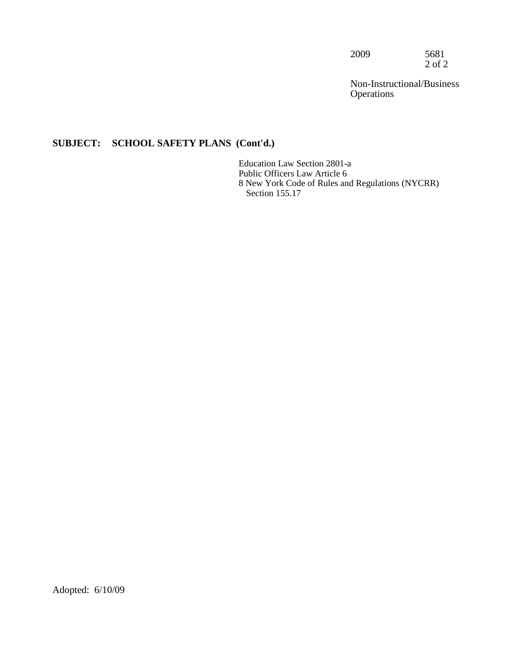2009 5681  $2$  of  $2$ 

Non-Instructional/Business **Operations** 

### **SUBJECT: SCHOOL SAFETY PLANS (Cont'd.)**

Education Law Section 2801-a Public Officers Law Article 6 8 New York Code of Rules and Regulations (NYCRR) Section 155.17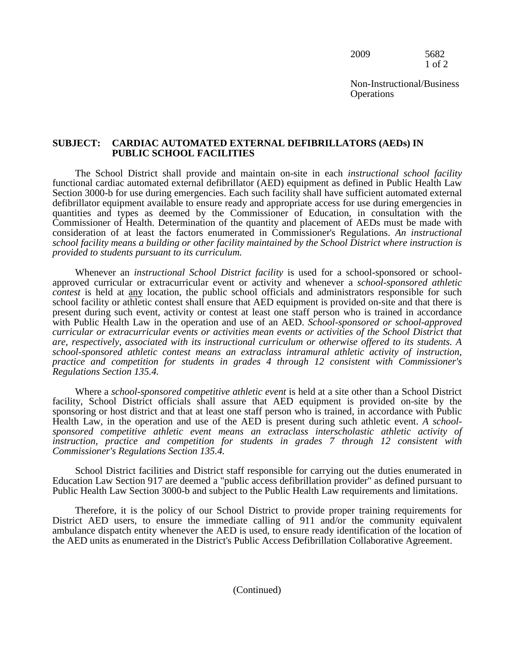2009 5682 1 of 2

Non-Instructional/Business **Operations** 

#### **SUBJECT: CARDIAC AUTOMATED EXTERNAL DEFIBRILLATORS (AEDs) IN PUBLIC SCHOOL FACILITIES**

The School District shall provide and maintain on-site in each *instructional school facility* functional cardiac automated external defibrillator (AED) equipment as defined in Public Health Law Section 3000-b for use during emergencies. Each such facility shall have sufficient automated external defibrillator equipment available to ensure ready and appropriate access for use during emergencies in quantities and types as deemed by the Commissioner of Education, in consultation with the Commissioner of Health. Determination of the quantity and placement of AEDs must be made with consideration of at least the factors enumerated in Commissioner's Regulations. *An instructional school facility means a building or other facility maintained by the School District where instruction is provided to students pursuant to its curriculum.* 

approved curricular of extracurricular event of activity and whenever a *school-sponsored dimetic*<br>contest is held at <u>any</u> location, the public school officials and administrators responsible for such<br>school facility or a Whenever an *instructional School District facility* is used for a school-sponsored or schoolapproved curricular or extracurricular event or activity and whenever a *school-sponsored athletic*  school facility or athletic contest shall ensure that AED equipment is provided on-site and that there is present during such event, activity or contest at least one staff person who is trained in accordance with Public Health Law in the operation and use of an AED. *School-sponsored or school-approved curricular or extracurricular events or activities mean events or activities of the School District that are, respectively, associated with its instructional curriculum or otherwise offered to its students. A school-sponsored athletic contest means an extraclass intramural athletic activity of instruction, practice and competition for students in grades 4 through 12 consistent with Commissioner's Regulations Section 135.4.* 

 *instruction, practice and competition for students in grades 7 through 12 consistent with*  Where a *school-sponsored competitive athletic event* is held at a site other than a School District facility, School District officials shall assure that AED equipment is provided on-site by the sponsoring or host district and that at least one staff person who is trained, in accordance with Public Health Law, in the operation and use of the AED is present during such athletic event. A schoolsponsored competitive athletic event means an extraclass interscholastic athletic activity of *Commissioner's Regulations Section 135.4.* 

School District facilities and District staff responsible for carrying out the duties enumerated in Education Law Section 917 are deemed a "public access defibrillation provider" as defined pursuant to Public Health Law Section 3000-b and subject to the Public Health Law requirements and limitations.

 Therefore, it is the policy of our School District to provide proper training requirements for District AED users, to ensure the immediate calling of 911 and/or the community equivalent ambulance dispatch entity whenever the AED is used, to ensure ready identification of the location of the AED units as enumerated in the District's Public Access Defibrillation Collaborative Agreement.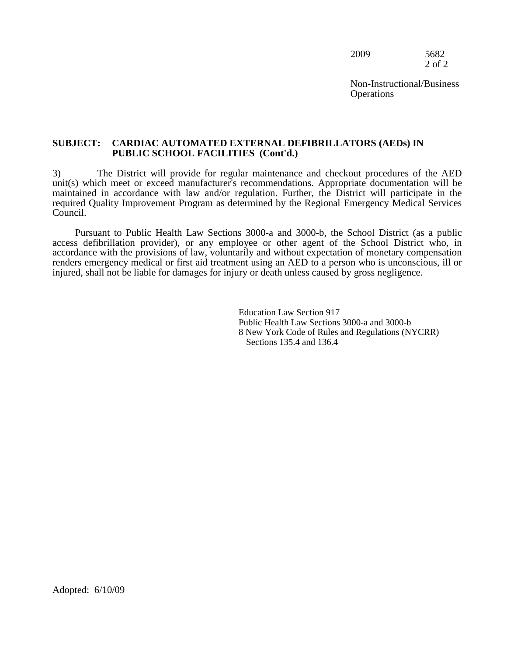2009 5682 2 of 2

Non-Instructional/Business **Operations** 

#### **SUBJECT: CARDIAC AUTOMATED EXTERNAL DEFIBRILLATORS (AEDs) IN PUBLIC SCHOOL FACILITIES (Cont'd.)**

 required Quality Improvement Program as determined by the Regional Emergency Medical Services 3) The District will provide for regular maintenance and checkout procedures of the AED unit(s) which meet or exceed manufacturer's recommendations. Appropriate documentation will be maintained in accordance with law and/or regulation. Further, the District will participate in the Council.

Pursuant to Public Health Law Sections 3000-a and 3000-b, the School District (as a public access defibrillation provider), or any employee or other agent of the School District who, in accordance with the provisions of law, voluntarily and without expectation of monetary compensation renders emergency medical or first aid treatment using an AED to a person who is unconscious, ill or injured, shall not be liable for damages for injury or death unless caused by gross negligence.

> Education Law Section 917 Public Health Law Sections 3000-a and 3000-b 8 New York Code of Rules and Regulations (NYCRR) Sections 135.4 and 136.4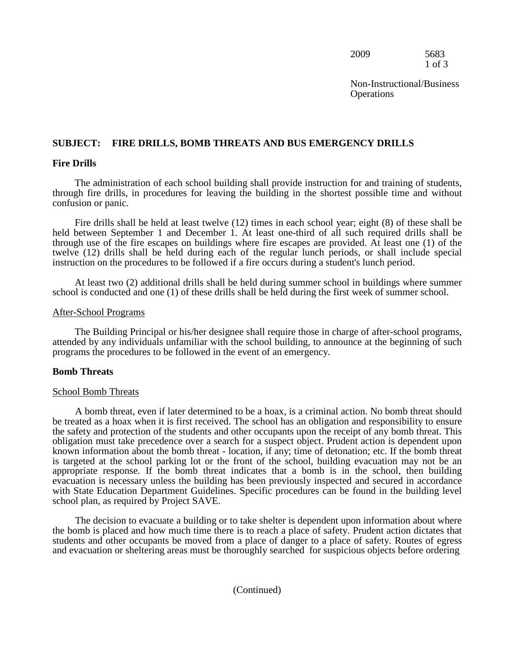2009 5683 1 of 3

Non-Instructional/Business **Operations** 

# **SUBJECT: FIRE DRILLS, BOMB THREATS AND BUS EMERGENCY DRILLS Fire Drills**

The administration of each school building shall provide instruction for and training of students, through fire drills, in procedures for leaving the building in the shortest possible time and without confusion or panic.

 through use of the fire escapes on buildings where fire escapes are provided. At least one (1) of the Fire drills shall be held at least twelve (12) times in each school year; eight (8) of these shall be held between September 1 and December 1. At least one-third of all such required drills shall be twelve (12) drills shall be held during each of the regular lunch periods, or shall include special instruction on the procedures to be followed if a fire occurs during a student's lunch period.

 At least two (2) additional drills shall be held during summer school in buildings where summer school is conducted and one (1) of these drills shall be held during the first week of summer school.

#### After-School Programs

The Building Principal or his/her designee shall require those in charge of after-school programs, attended by any individuals unfamiliar with the school building, to announce at the beginning of such programs the procedures to be followed in the event of an emergency.

#### **Bomb Threats**

#### School Bomb Threats

 be treated as a hoax when it is first received. The school has an obligation and responsibility to ensure appropriate response. If the bomb threat indicates that a bomb is in the school, then building A bomb threat, even if later determined to be a hoax, is a criminal action. No bomb threat should the safety and protection of the students and other occupants upon the receipt of any bomb threat. This obligation must take precedence over a search for a suspect object. Prudent action is dependent upon known information about the bomb threat - location, if any; time of detonation; etc. If the bomb threat is targeted at the school parking lot or the front of the school, building evacuation may not be an evacuation is necessary unless the building has been previously inspected and secured in accordance with State Education Department Guidelines. Specific procedures can be found in the building level school plan, as required by Project SAVE.

 and evacuation or sheltering areas must be thoroughly searched for suspicious objects before ordering The decision to evacuate a building or to take shelter is dependent upon information about where the bomb is placed and how much time there is to reach a place of safety. Prudent action dictates that students and other occupants be moved from a place of danger to a place of safety. Routes of egress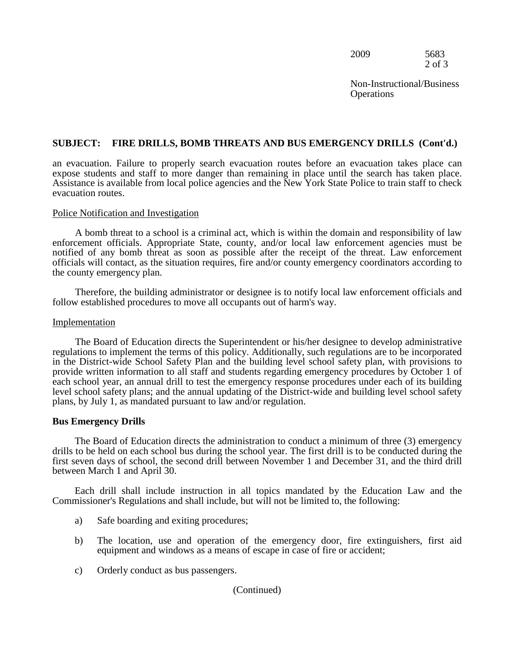| 2009 | 5683   |
|------|--------|
|      | 2 of 3 |

Non-Instructional/Business **Operations** 

#### **SUBJECT: FIRE DRILLS, BOMB THREATS AND BUS EMERGENCY DRILLS (Cont'd.)**

an evacuation. Failure to properly search evacuation routes before an evacuation takes place can expose students and staff to more danger than remaining in place until the search has taken place. Assistance is available from local police agencies and the New York State Police to train staff to check evacuation routes.

#### Police Notification and Investigation

 A bomb threat to a school is a criminal act, which is within the domain and responsibility of law enforcement officials. Appropriate State, county, and/or local law enforcement agencies must be notified of any bomb threat as soon as possible after the receipt of the threat. Law enforcement officials will contact, as the situation requires, fire and/or county emergency coordinators according to the county emergency plan.

Therefore, the building administrator or designee is to notify local law enforcement officials and follow established procedures to move all occupants out of harm's way.

#### Implementation

The Board of Education directs the Superintendent or his/her designee to develop administrative regulations to implement the terms of this policy. Additionally, such regulations are to be incorporated in the District-wide School Safety Plan and the building level school safety plan, with provisions to provide written information to all staff and students regarding emergency procedures by October 1 of each school year, an annual drill to test the emergency response procedures under each of its building level school safety plans; and the annual updating of the District-wide and building level school safety plans, by July 1, as mandated pursuant to law and/or regulation.

#### **Bus Emergency Drills**

The Board of Education directs the administration to conduct a minimum of three (3) emergency drills to be held on each school bus during the school year. The first drill is to be conducted during the first seven days of school, the second drill between November 1 and December 31, and the third drill between March 1 and April 30.

Each drill shall include instruction in all topics mandated by the Education Law and the Commissioner's Regulations and shall include, but will not be limited to, the following:

- a) Safe boarding and exiting procedures;
- b) The location, use and operation of the emergency door, fire extinguishers, first aid equipment and windows as a means of escape in case of fire or accident;
- c) Orderly conduct as bus passengers.

#### (Continued)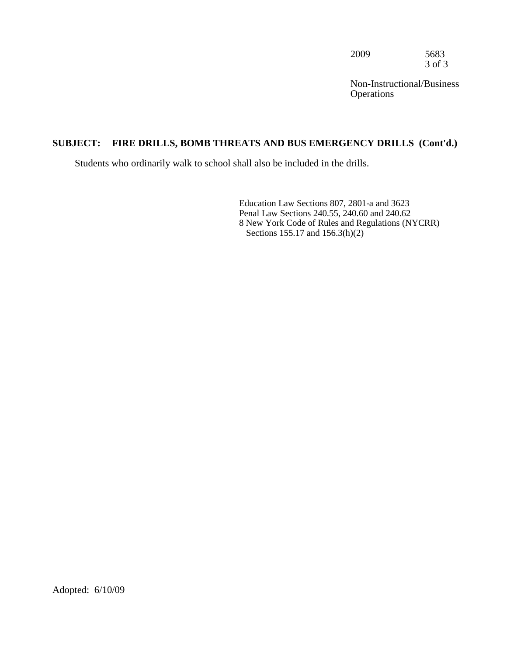2009 5683 3 of 3

Non-Instructional/Business **Operations** 

#### **SUBJECT: FIRE DRILLS, BOMB THREATS AND BUS EMERGENCY DRILLS (Cont'd.)**

Students who ordinarily walk to school shall also be included in the drills.

Education Law Sections 807, 2801-a and 3623 Penal Law Sections 240.55, 240.60 and 240.62 8 New York Code of Rules and Regulations (NYCRR) Sections 155.17 and 156.3(h)(2)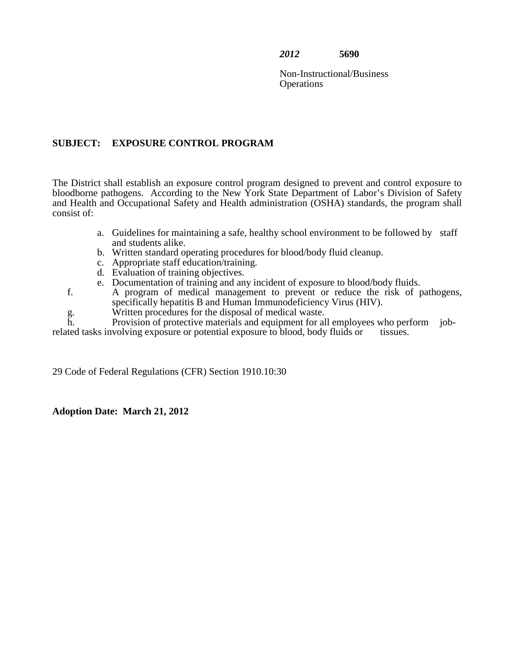Non-Instructional/Business **Operations** 

#### **SUBJECT: EXPOSURE CONTROL PROGRAM**

 The District shall establish an exposure control program designed to prevent and control exposure to bloodborne pathogens. According to the New York State Department of Labor's Division of Safety and Health and Occupational Safety and Health administration (OSHA) standards, the program shall consist of:

- a. Guidelines for maintaining a safe, healthy school environment to be followed by staff and students alike.
- b. Written standard operating procedures for blood/body fluid cleanup.
- c. Appropriate staff education/training.
- d. Evaluation of training objectives.
- e. Documentation of training and any incident of exposure to blood/body fluids.
- f. A program of medical management to prevent or reduce the risk of pathogens, specifically hepatitis B and Human Immunodeficiency Virus (HIV).
	- Written procedures for the disposal of medical waste.

related tasks involving exposure or potential exposure to blood, body fluids or tissues. g. h. Provision of protective materials and equipment for all employees who perform job-<br>volving exposure or potential exposure to blood, body fluids or tissues.

29 Code of Federal Regulations (CFR) Section 1910.10:30

**Adoption Date: March 21, 2012**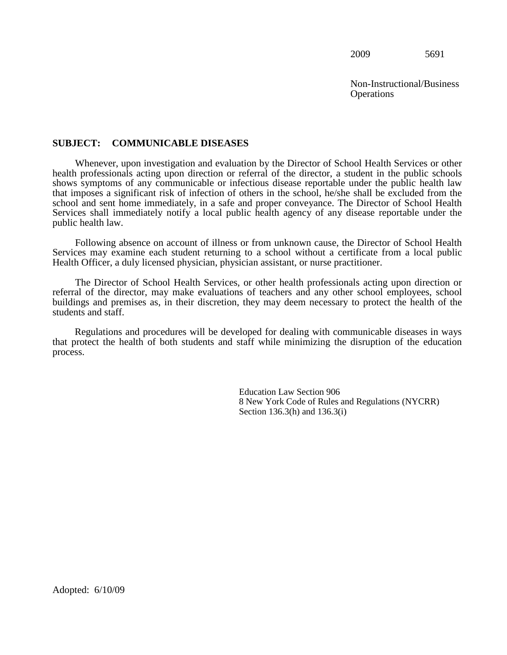Non-Instructional/Business **Operations** 

#### **SUBJECT: COMMUNICABLE DISEASES**

 Whenever, upon investigation and evaluation by the Director of School Health Services or other health professionals acting upon direction or referral of the director, a student in the public schools shows symptoms of any communicable or infectious disease reportable under the public health law that imposes a significant risk of infection of others in the school, he/she shall be excluded from the school and sent home immediately, in a safe and proper conveyance. The Director of School Health Services shall immediately notify a local public health agency of any disease reportable under the public health law.

Following absence on account of illness or from unknown cause, the Director of School Health Services may examine each student returning to a school without a certificate from a local public Health Officer, a duly licensed physician, physician assistant, or nurse practitioner.

The Director of School Health Services, or other health professionals acting upon direction or referral of the director, may make evaluations of teachers and any other school employees, school buildings and premises as, in their discretion, they may deem necessary to protect the health of the students and staff.

Regulations and procedures will be developed for dealing with communicable diseases in ways that protect the health of both students and staff while minimizing the disruption of the education process.

> Education Law Section 906 8 New York Code of Rules and Regulations (NYCRR) Section 136.3(h) and 136.3(i)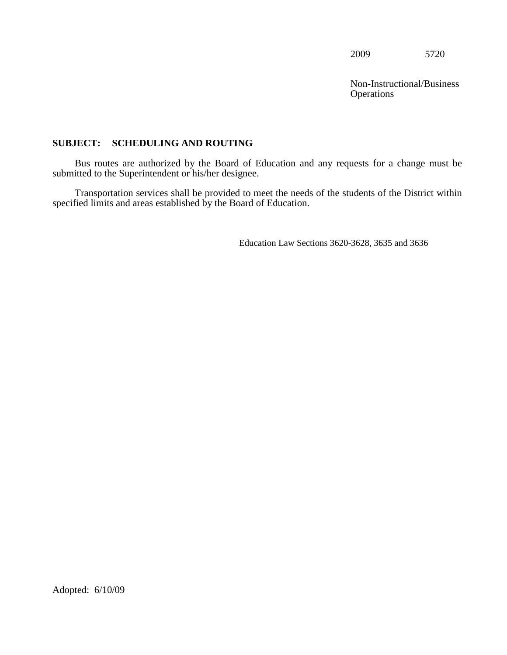**Operations** Non-Instructional/Business

#### **SUBJECT: SCHEDULING AND ROUTING**

Bus routes are authorized by the Board of Education and any requests for a change must be submitted to the Superintendent or his/her designee.

Transportation services shall be provided to meet the needs of the students of the District within specified limits and areas established by the Board of Education.

Education Law Sections 3620-3628, 3635 and 3636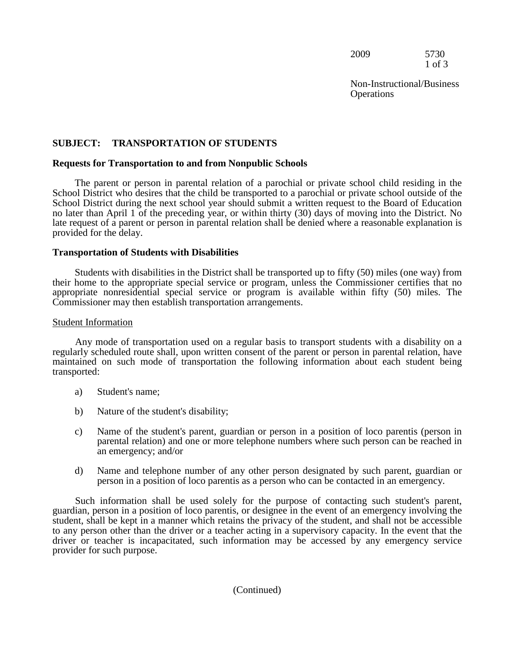2009 5730 1 of 3

**Operations** Non-Instructional/Business

# **SUBJECT: TRANSPORTATION OF STUDENTS**

## **Requests for Transportation to and from Nonpublic Schools**

 no later than April 1 of the preceding year, or within thirty (30) days of moving into the District. No The parent or person in parental relation of a parochial or private school child residing in the School District who desires that the child be transported to a parochial or private school outside of the School District during the next school year should submit a written request to the Board of Education late request of a parent or person in parental relation shall be denied where a reasonable explanation is provided for the delay.

### **Transportation of Students with Disabilities**

 Students with disabilities in the District shall be transported up to fifty (50) miles (one way) from their home to the appropriate special service or program, unless the Commissioner certifies that no appropriate nonresidential special service or program is available within fifty (50) miles. The Commissioner may then establish transportation arrangements.

### Student Information

 Any mode of transportation used on a regular basis to transport students with a disability on a regularly scheduled route shall, upon written consent of the parent or person in parental relation, have maintained on such mode of transportation the following information about each student being transported:

- a) Student's name;
- b) Nature of the student's disability;
- c) Name of the student's parent, guardian or person in a position of loco parentis (person in parental relation) and one or more telephone numbers where such person can be reached in an emergency; and/or
- d) Name and telephone number of any other person designated by such parent, guardian or person in a position of loco parentis as a person who can be contacted in an emergency.

 guardian, person in a position of loco parentis, or designee in the event of an emergency involving the to any person other than the driver or a teacher acting in a supervisory capacity. In the event that the driver or teacher is incapacitated, such information may be accessed by any emergency service Such information shall be used solely for the purpose of contacting such student's parent, student, shall be kept in a manner which retains the privacy of the student, and shall not be accessible provider for such purpose.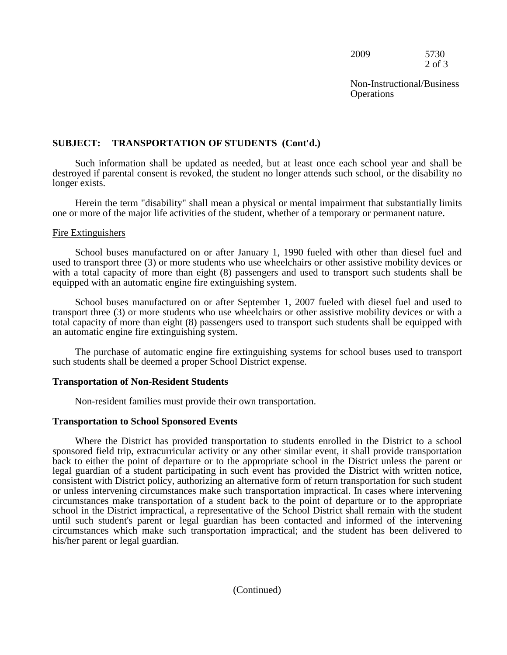2009 5730 2 of 3

**Operations** Non-Instructional/Business

## **SUBJECT: TRANSPORTATION OF STUDENTS (Cont'd.)**

 destroyed if parental consent is revoked, the student no longer attends such school, or the disability no Such information shall be updated as needed, but at least once each school year and shall be longer exists.

 one or more of the major life activities of the student, whether of a temporary or permanent nature. Herein the term "disability" shall mean a physical or mental impairment that substantially limits

### Fire Extinguishers

 used to transport three (3) or more students who use wheelchairs or other assistive mobility devices or with a total capacity of more than eight (8) passengers and used to transport such students shall be School buses manufactured on or after January 1, 1990 fueled with other than diesel fuel and equipped with an automatic engine fire extinguishing system.

 an automatic engine fire extinguishing system. School buses manufactured on or after September 1, 2007 fueled with diesel fuel and used to transport three (3) or more students who use wheelchairs or other assistive mobility devices or with a total capacity of more than eight (8) passengers used to transport such students shall be equipped with

The purchase of automatic engine fire extinguishing systems for school buses used to transport such students shall be deemed a proper School District expense.

### **Transportation of Non-Resident Students**

Non-resident families must provide their own transportation.

### **Transportation to School Sponsored Events**

 his/her parent or legal guardian. Where the District has provided transportation to students enrolled in the District to a school sponsored field trip, extracurricular activity or any other similar event, it shall provide transportation back to either the point of departure or to the appropriate school in the District unless the parent or legal guardian of a student participating in such event has provided the District with written notice, consistent with District policy, authorizing an alternative form of return transportation for such student or unless intervening circumstances make such transportation impractical. In cases where intervening circumstances make transportation of a student back to the point of departure or to the appropriate school in the District impractical, a representative of the School District shall remain with the student until such student's parent or legal guardian has been contacted and informed of the intervening circumstances which make such transportation impractical; and the student has been delivered to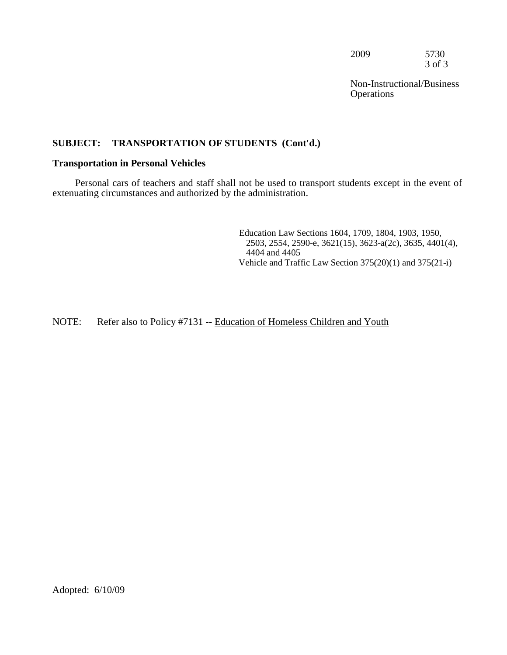2009 5730 3 of 3

**Operations** Non-Instructional/Business

# **SUBJECT: TRANSPORTATION OF STUDENTS (Cont'd.)**

### **Transportation in Personal Vehicles**

Personal cars of teachers and staff shall not be used to transport students except in the event of extenuating circumstances and authorized by the administration.

> Education Law Sections 1604, 1709, 1804, 1903, 1950, 2503, 2554, 2590-e, 3621(15), 3623-a(2c), 3635, 4401(4), 4404 and 4405 Vehicle and Traffic Law Section 375(20)(1) and 375(21-i)

NOTE: Refer also to Policy #7131 -- Education of Homeless Children and Youth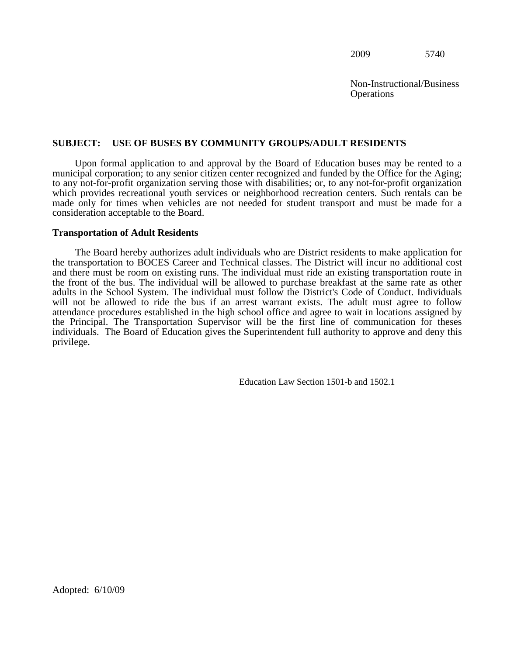2009 5740

**Operations** Non-Instructional/Business

# **SUBJECT: USE OF BUSES BY COMMUNITY GROUPS/ADULT RESIDENTS**

Upon formal application to and approval by the Board of Education buses may be rented to a municipal corporation; to any senior citizen center recognized and funded by the Office for the Aging; to any not-for-profit organization serving those with disabilities; or, to any not-for-profit organization which provides recreational youth services or neighborhood recreation centers. Such rentals can be made only for times when vehicles are not needed for student transport and must be made for a consideration acceptable to the Board.

### **Transportation of Adult Residents**

 the transportation to BOCES Career and Technical classes. The District will incur no additional cost and there must be room on existing runs. The individual must ride an existing transportation route in The Board hereby authorizes adult individuals who are District residents to make application for the front of the bus. The individual will be allowed to purchase breakfast at the same rate as other adults in the School System. The individual must follow the District's Code of Conduct. Individuals will not be allowed to ride the bus if an arrest warrant exists. The adult must agree to follow attendance procedures established in the high school office and agree to wait in locations assigned by the Principal. The Transportation Supervisor will be the first line of communication for theses individuals. The Board of Education gives the Superintendent full authority to approve and deny this privilege.

Education Law Section 1501-b and 1502.1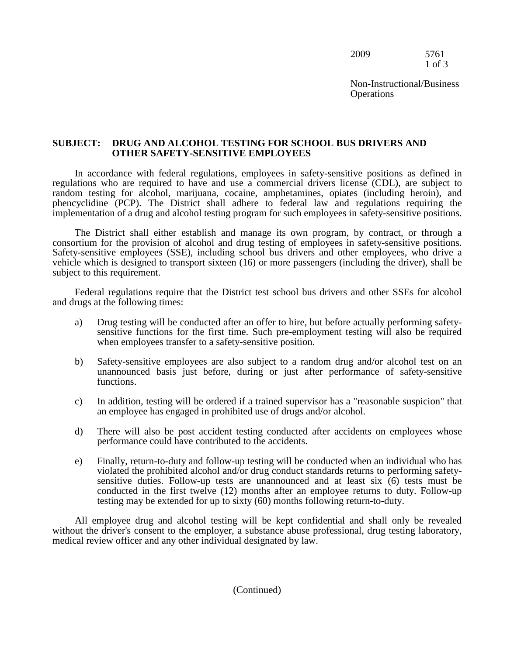2009 5761 1 of 3

Non-Instructional/Business **Operations** 

### **SUBJECT: DRUG AND ALCOHOL TESTING FOR SCHOOL BUS DRIVERS AND OTHER SAFETY-SENSITIVE EMPLOYEES**

In accordance with federal regulations, employees in safety-sensitive positions as defined in regulations who are required to have and use a commercial drivers license (CDL), are subject to random testing for alcohol, marijuana, cocaine, amphetamines, opiates (including heroin), and phencyclidine (PCP). The District shall adhere to federal law and regulations requiring the implementation of a drug and alcohol testing program for such employees in safety-sensitive positions.

The District shall either establish and manage its own program, by contract, or through a consortium for the provision of alcohol and drug testing of employees in safety-sensitive positions. Safety-sensitive employees (SSE), including school bus drivers and other employees, who drive a vehicle which is designed to transport sixteen (16) or more passengers (including the driver), shall be subject to this requirement.

Federal regulations require that the District test school bus drivers and other SSEs for alcohol and drugs at the following times:

- a) Drug testing will be conducted after an offer to hire, but before actually performing safetysensitive functions for the first time. Such pre-employment testing will also be required when employees transfer to a safety-sensitive position.
- b) Safety-sensitive employees are also subject to a random drug and/or alcohol test on an unannounced basis just before, during or just after performance of safety-sensitive functions.
- an employee has engaged in prohibited use of drugs and/or alcohol. c) In addition, testing will be ordered if a trained supervisor has a "reasonable suspicion" that
- performance could have contributed to the accidents. d) There will also be post accident testing conducted after accidents on employees whose
- e) Finally, return-to-duty and follow-up testing will be conducted when an individual who has sensitive duties. Follow-up tests are unannounced and at least six (6) tests must be conducted in the first twelve (12) months after an employee returns to duty. Follow-up testing may be extended for up to sixty (60) months following return-to-duty.

All employee drug and alcohol testing will be kept confidential and shall only be revealed without the driver's consent to the employer, a substance abuse professional, drug testing laboratory, medical review officer and any other individual designated by law.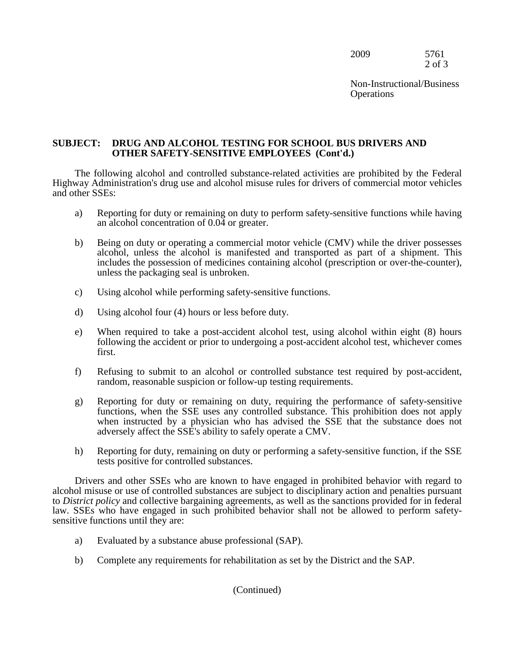2009 5761 2 of 3

Non-Instructional/Business **Operations** 

## **SUBJECT: DRUG AND ALCOHOL TESTING FOR SCHOOL BUS DRIVERS AND OTHER SAFETY-SENSITIVE EMPLOYEES (Cont'd.)**

The following alcohol and controlled substance-related activities are prohibited by the Federal Highway Administration's drug use and alcohol misuse rules for drivers of commercial motor vehicles and other SSEs:

- an alcohol concentration of 0.04 or greater. a) Reporting for duty or remaining on duty to perform safety-sensitive functions while having
- includes the possession of medicines containing alcohol (prescription or over-the-counter), b) Being on duty or operating a commercial motor vehicle (CMV) while the driver possesses alcohol, unless the alcohol is manifested and transported as part of a shipment. This unless the packaging seal is unbroken.
- c) Using alcohol while performing safety-sensitive functions.
- d) Using alcohol four (4) hours or less before duty.
- following the accident or prior to undergoing a post-accident alcohol test, whichever comes e) When required to take a post-accident alcohol test, using alcohol within eight (8) hours first.
- f) Refusing to submit to an alcohol or controlled substance test required by post-accident, random, reasonable suspicion or follow-up testing requirements.
- g) Reporting for duty or remaining on duty, requiring the performance of safety-sensitive functions, when the SSE uses any controlled substance. This prohibition does not apply when instructed by a physician who has advised the SSE that the substance does not adversely affect the SSE's ability to safely operate a CMV.
- h) Reporting for duty, remaining on duty or performing a safety-sensitive function, if the SSE tests positive for controlled substances.

 sensitive functions until they are: Drivers and other SSEs who are known to have engaged in prohibited behavior with regard to alcohol misuse or use of controlled substances are subject to disciplinary action and penalties pursuant to *District policy* and collective bargaining agreements, as well as the sanctions provided for in federal law. SSEs who have engaged in such prohibited behavior shall not be allowed to perform safety-

- a) Evaluated by a substance abuse professional (SAP).
- b) Complete any requirements for rehabilitation as set by the District and the SAP.